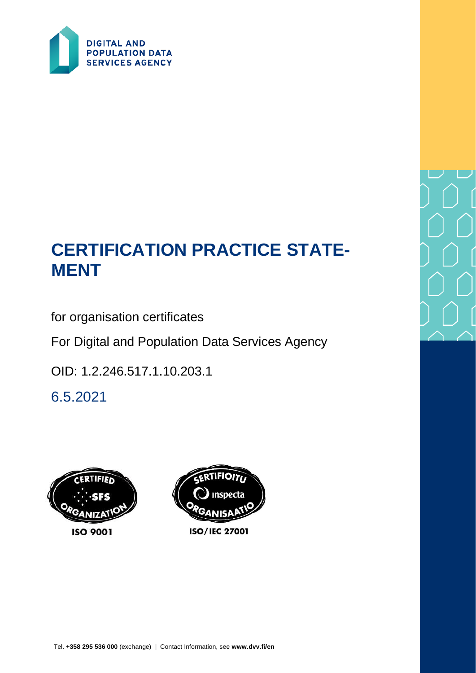

# **CERTIFICATION PRACTICE STATE-MENT**

for organisation certificates

For Digital and Population Data Services Agency

OID: 1.2.246.517.1.10.203.1

6.5.2021

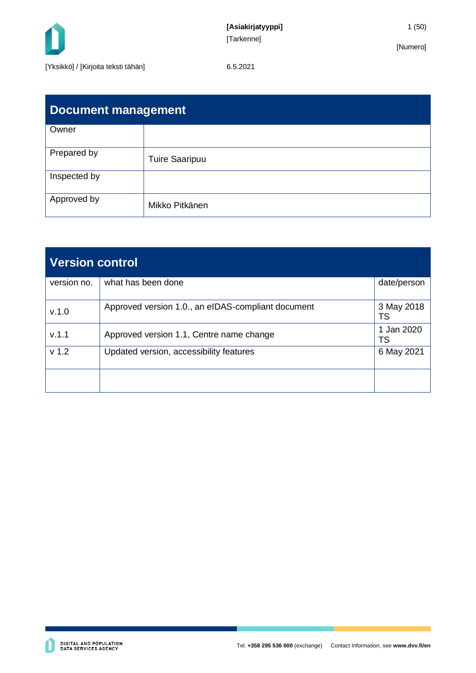

| <b>Document management</b> |                       |  |  |
|----------------------------|-----------------------|--|--|
| Owner                      |                       |  |  |
| Prepared by                | <b>Tuire Saaripuu</b> |  |  |
| Inspected by               |                       |  |  |
| Approved by                | Mikko Pitkänen        |  |  |

| <b>Version control</b> |                                                    |                         |  |
|------------------------|----------------------------------------------------|-------------------------|--|
| version no.            | what has been done                                 | date/person             |  |
| V.1.0                  | Approved version 1.0., an eIDAS-compliant document | 3 May 2018<br><b>TS</b> |  |
| V.1.1                  | Approved version 1.1, Centre name change           | 1 Jan 2020<br>TS        |  |
| v <sub>1.2</sub>       | Updated version, accessibility features            | 6 May 2021              |  |
|                        |                                                    |                         |  |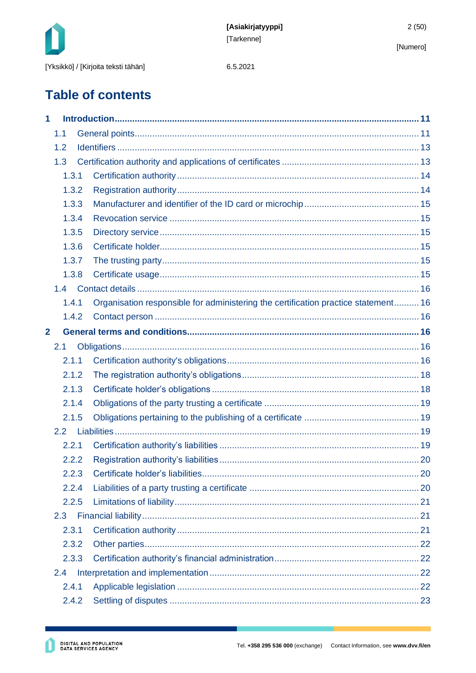

6.5.2021

# **Table of contents**

| 1              |               |       |                                                                                    |  |
|----------------|---------------|-------|------------------------------------------------------------------------------------|--|
|                | 1.1           |       |                                                                                    |  |
|                | 1.2           |       |                                                                                    |  |
|                | 1.3           |       |                                                                                    |  |
|                |               | 1.3.1 |                                                                                    |  |
|                |               | 1.3.2 |                                                                                    |  |
|                |               | 1.3.3 |                                                                                    |  |
|                |               | 1.3.4 |                                                                                    |  |
|                |               | 1.3.5 |                                                                                    |  |
|                |               | 1.3.6 |                                                                                    |  |
|                |               | 1.3.7 |                                                                                    |  |
|                |               | 1.3.8 |                                                                                    |  |
|                | 1.4           |       |                                                                                    |  |
|                |               | 1.4.1 | Organisation responsible for administering the certification practice statement 16 |  |
|                |               | 1.4.2 |                                                                                    |  |
| $\overline{2}$ |               |       |                                                                                    |  |
|                | 2.1           |       |                                                                                    |  |
|                |               | 2.1.1 |                                                                                    |  |
|                |               | 2.1.2 |                                                                                    |  |
|                |               | 2.1.3 |                                                                                    |  |
|                |               | 2.1.4 |                                                                                    |  |
|                |               | 2.1.5 |                                                                                    |  |
|                | 2.2           |       |                                                                                    |  |
|                |               | 2.2.1 |                                                                                    |  |
|                |               | 2.2.2 |                                                                                    |  |
|                |               | 2.2.3 |                                                                                    |  |
|                |               | 2.2.4 |                                                                                    |  |
|                |               | 2.2.5 |                                                                                    |  |
|                | 2.3           |       |                                                                                    |  |
|                |               | 2.3.1 |                                                                                    |  |
|                |               | 2.3.2 |                                                                                    |  |
|                |               | 2.3.3 |                                                                                    |  |
|                | $2.4^{\circ}$ |       |                                                                                    |  |
|                |               | 2.4.1 |                                                                                    |  |
|                |               | 2.4.2 |                                                                                    |  |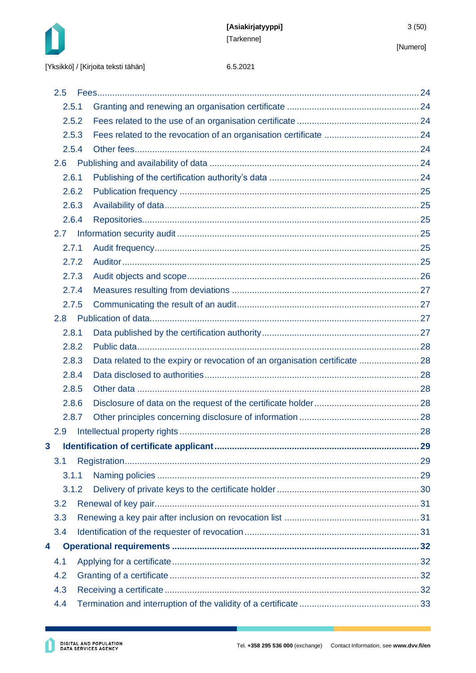

|   | 2.5   |                                                                             |  |
|---|-------|-----------------------------------------------------------------------------|--|
|   | 2.5.1 |                                                                             |  |
|   | 2.5.2 |                                                                             |  |
|   | 2.5.3 |                                                                             |  |
|   | 2.5.4 |                                                                             |  |
|   | 2.6   |                                                                             |  |
|   | 2.6.1 |                                                                             |  |
|   | 2.6.2 |                                                                             |  |
|   | 2.6.3 |                                                                             |  |
|   | 2.6.4 |                                                                             |  |
|   | 2.7   |                                                                             |  |
|   | 2.7.1 |                                                                             |  |
|   | 2.7.2 |                                                                             |  |
|   | 2.7.3 |                                                                             |  |
|   | 2.7.4 |                                                                             |  |
|   | 2.7.5 |                                                                             |  |
|   | 2.8   |                                                                             |  |
|   | 2.8.1 |                                                                             |  |
|   | 2.8.2 |                                                                             |  |
|   | 2.8.3 | Data related to the expiry or revocation of an organisation certificate  28 |  |
|   | 2.8.4 |                                                                             |  |
|   | 2.8.5 |                                                                             |  |
|   | 2.8.6 |                                                                             |  |
|   | 2.8.7 |                                                                             |  |
|   | 2.9   |                                                                             |  |
| 3 |       |                                                                             |  |
|   | 3.1   |                                                                             |  |
|   | 3.1.1 |                                                                             |  |
|   | 3.1.2 |                                                                             |  |
|   | 3.2   |                                                                             |  |
|   | 3.3   |                                                                             |  |
|   | 3.4   |                                                                             |  |
| 4 |       |                                                                             |  |
|   | 4.1   |                                                                             |  |
|   | 4.2   |                                                                             |  |
|   | 4.3   |                                                                             |  |
|   | 4.4   |                                                                             |  |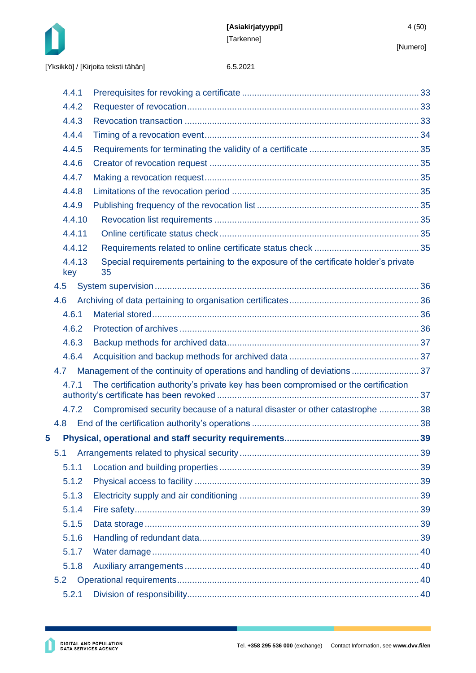



|   | 4.4.1         |                                                                                           |  |
|---|---------------|-------------------------------------------------------------------------------------------|--|
|   | 4.4.2         |                                                                                           |  |
|   | 4.4.3         |                                                                                           |  |
|   | 4.4.4         |                                                                                           |  |
|   | 4.4.5         |                                                                                           |  |
|   | 4.4.6         |                                                                                           |  |
|   | 4.4.7         |                                                                                           |  |
|   | 4.4.8         |                                                                                           |  |
|   | 4.4.9         |                                                                                           |  |
|   | 4.4.10        |                                                                                           |  |
|   | 4.4.11        |                                                                                           |  |
|   | 4.4.12        |                                                                                           |  |
|   | 4.4.13<br>key | Special requirements pertaining to the exposure of the certificate holder's private<br>35 |  |
|   | 4.5           |                                                                                           |  |
|   | 4.6           |                                                                                           |  |
|   | 4.6.1         |                                                                                           |  |
|   | 4.6.2         |                                                                                           |  |
|   | 4.6.3         |                                                                                           |  |
|   | 4.6.4         |                                                                                           |  |
|   | 4.7           | Management of the continuity of operations and handling of deviations  37                 |  |
|   | 4.7.1         | The certification authority's private key has been compromised or the certification       |  |
|   | 4.7.2         | Compromised security because of a natural disaster or other catastrophe  38               |  |
|   | 4.8           |                                                                                           |  |
| 5 |               |                                                                                           |  |
|   | 5.1           |                                                                                           |  |
|   | 5.1.1         |                                                                                           |  |
|   | 5.1.2         |                                                                                           |  |
|   | 5.1.3         |                                                                                           |  |
|   | 5.1.4         |                                                                                           |  |
|   | 5.1.5         |                                                                                           |  |
|   | 5.1.6         |                                                                                           |  |
|   | 5.1.7         |                                                                                           |  |
|   | 5.1.8         |                                                                                           |  |
|   | 5.2           |                                                                                           |  |
|   | 5.2.1         |                                                                                           |  |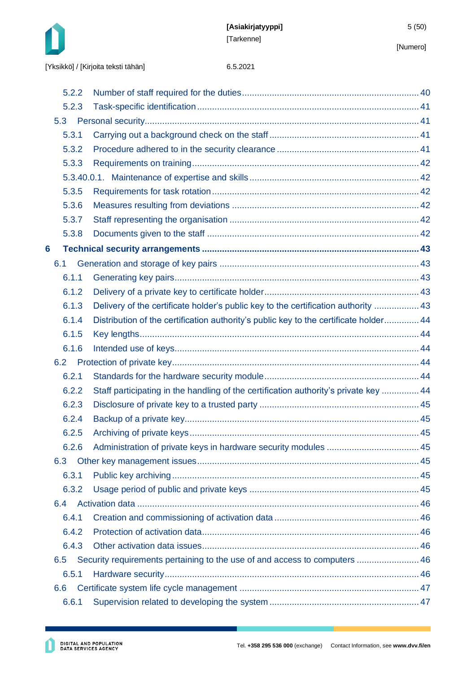

|   | 5.2.2 |                                                                                       |  |
|---|-------|---------------------------------------------------------------------------------------|--|
|   | 5.2.3 |                                                                                       |  |
|   | 5.3   |                                                                                       |  |
|   | 5.3.1 |                                                                                       |  |
|   | 5.3.2 |                                                                                       |  |
|   | 5.3.3 |                                                                                       |  |
|   |       |                                                                                       |  |
|   | 5.3.5 |                                                                                       |  |
|   | 5.3.6 |                                                                                       |  |
|   | 5.3.7 |                                                                                       |  |
|   | 5.3.8 |                                                                                       |  |
| 6 |       |                                                                                       |  |
|   | 6.1   |                                                                                       |  |
|   | 6.1.1 |                                                                                       |  |
|   | 6.1.2 |                                                                                       |  |
|   | 6.1.3 | Delivery of the certificate holder's public key to the certification authority  43    |  |
|   | 6.1.4 | Distribution of the certification authority's public key to the certificate holder 44 |  |
|   | 6.1.5 |                                                                                       |  |
|   | 6.1.6 |                                                                                       |  |
|   | 6.2   |                                                                                       |  |
|   | 6.2.1 |                                                                                       |  |
|   | 6.2.2 | Staff participating in the handling of the certification authority's private key  44  |  |
|   | 6.2.3 |                                                                                       |  |
|   | 6.2.4 |                                                                                       |  |
|   | 6.2.5 |                                                                                       |  |
|   | 6.2.6 |                                                                                       |  |
|   | 6.3   |                                                                                       |  |
|   | 6.3.1 |                                                                                       |  |
|   | 6.3.2 |                                                                                       |  |
|   | 6.4   |                                                                                       |  |
|   | 6.4.1 |                                                                                       |  |
|   | 6.4.2 |                                                                                       |  |
|   | 6.4.3 |                                                                                       |  |
|   | 6.5   | Security requirements pertaining to the use of and access to computers  46            |  |
|   | 6.5.1 |                                                                                       |  |
|   | 6.6   |                                                                                       |  |
|   | 6.6.1 |                                                                                       |  |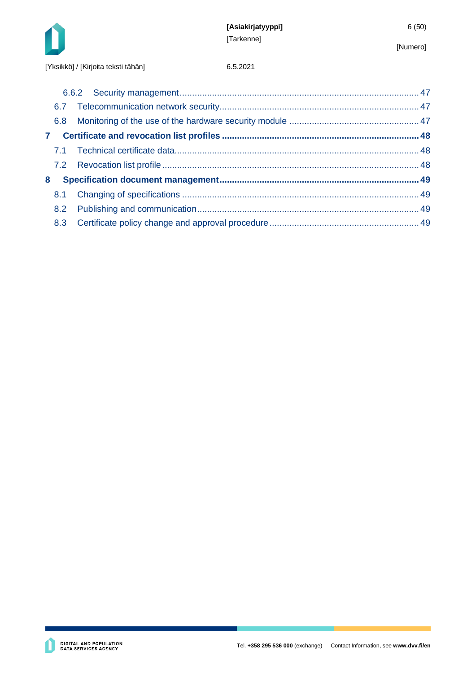

| 6.8          |  |
|--------------|--|
| $\mathbf{7}$ |  |
|              |  |
|              |  |
| 8            |  |
| 8.1          |  |
| 8.2          |  |
| 8.3          |  |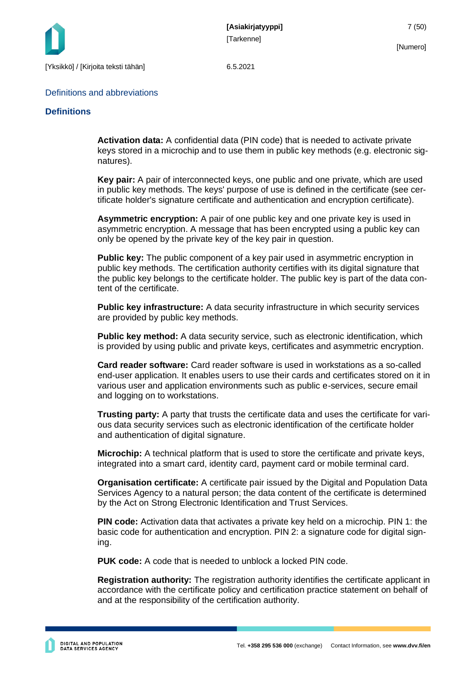

#### Definitions and abbreviations

#### **Definitions**

**Activation data:** A confidential data (PIN code) that is needed to activate private keys stored in a microchip and to use them in public key methods (e.g. electronic signatures).

**Key pair:** A pair of interconnected keys, one public and one private, which are used in public key methods. The keys' purpose of use is defined in the certificate (see certificate holder's signature certificate and authentication and encryption certificate).

**Asymmetric encryption:** A pair of one public key and one private key is used in asymmetric encryption. A message that has been encrypted using a public key can only be opened by the private key of the key pair in question.

**Public key:** The public component of a key pair used in asymmetric encryption in public key methods. The certification authority certifies with its digital signature that the public key belongs to the certificate holder. The public key is part of the data content of the certificate.

**Public key infrastructure:** A data security infrastructure in which security services are provided by public key methods.

**Public key method:** A data security service, such as electronic identification, which is provided by using public and private keys, certificates and asymmetric encryption.

**Card reader software:** Card reader software is used in workstations as a so-called end-user application. It enables users to use their cards and certificates stored on it in various user and application environments such as public e-services, secure email and logging on to workstations.

**Trusting party:** A party that trusts the certificate data and uses the certificate for various data security services such as electronic identification of the certificate holder and authentication of digital signature.

**Microchip:** A technical platform that is used to store the certificate and private keys, integrated into a smart card, identity card, payment card or mobile terminal card.

**Organisation certificate:** A certificate pair issued by the Digital and Population Data Services Agency to a natural person; the data content of the certificate is determined by the Act on Strong Electronic Identification and Trust Services.

**PIN code:** Activation data that activates a private key held on a microchip. PIN 1: the basic code for authentication and encryption. PIN 2: a signature code for digital signing.

**PUK code:** A code that is needed to unblock a locked PIN code.

**Registration authority:** The registration authority identifies the certificate applicant in accordance with the certificate policy and certification practice statement on behalf of and at the responsibility of the certification authority.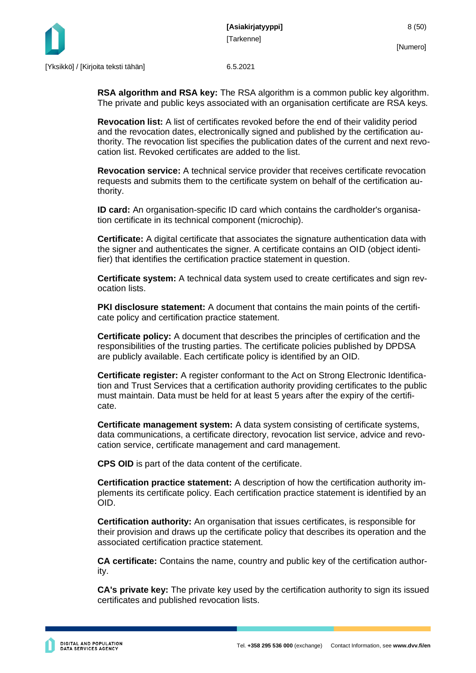

**RSA algorithm and RSA key:** The RSA algorithm is a common public key algorithm. The private and public keys associated with an organisation certificate are RSA keys.

**Revocation list:** A list of certificates revoked before the end of their validity period and the revocation dates, electronically signed and published by the certification authority. The revocation list specifies the publication dates of the current and next revocation list. Revoked certificates are added to the list.

**Revocation service:** A technical service provider that receives certificate revocation requests and submits them to the certificate system on behalf of the certification authority.

**ID card:** An organisation-specific ID card which contains the cardholder's organisation certificate in its technical component (microchip).

**Certificate:** A digital certificate that associates the signature authentication data with the signer and authenticates the signer. A certificate contains an OID (object identifier) that identifies the certification practice statement in question.

**Certificate system:** A technical data system used to create certificates and sign revocation lists.

**PKI disclosure statement:** A document that contains the main points of the certificate policy and certification practice statement.

**Certificate policy:** A document that describes the principles of certification and the responsibilities of the trusting parties. The certificate policies published by DPDSA are publicly available. Each certificate policy is identified by an OID.

**Certificate register:** A register conformant to the Act on Strong Electronic Identification and Trust Services that a certification authority providing certificates to the public must maintain. Data must be held for at least 5 years after the expiry of the certificate.

**Certificate management system:** A data system consisting of certificate systems, data communications, a certificate directory, revocation list service, advice and revocation service, certificate management and card management.

**CPS OID** is part of the data content of the certificate.

**Certification practice statement:** A description of how the certification authority implements its certificate policy. Each certification practice statement is identified by an OID.

**Certification authority:** An organisation that issues certificates, is responsible for their provision and draws up the certificate policy that describes its operation and the associated certification practice statement.

**CA certificate:** Contains the name, country and public key of the certification authority.

**CA's private key:** The private key used by the certification authority to sign its issued certificates and published revocation lists.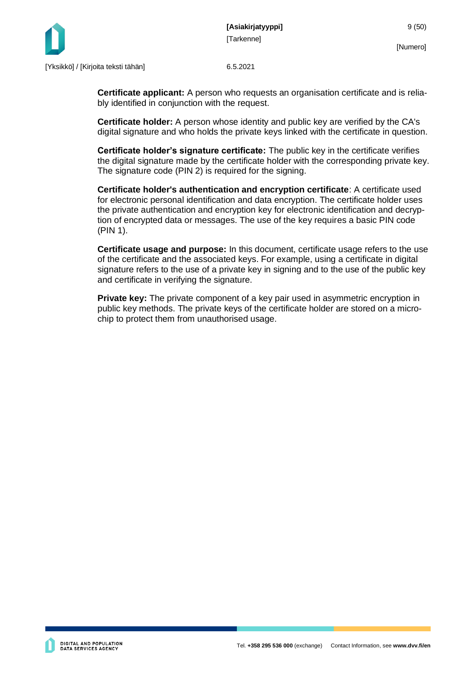

**Certificate applicant:** A person who requests an organisation certificate and is reliably identified in conjunction with the request.

**Certificate holder:** A person whose identity and public key are verified by the CA's digital signature and who holds the private keys linked with the certificate in question.

**Certificate holder's signature certificate:** The public key in the certificate verifies the digital signature made by the certificate holder with the corresponding private key. The signature code (PIN 2) is required for the signing.

**Certificate holder's authentication and encryption certificate**: A certificate used for electronic personal identification and data encryption. The certificate holder uses the private authentication and encryption key for electronic identification and decryption of encrypted data or messages. The use of the key requires a basic PIN code (PIN 1).

**Certificate usage and purpose:** In this document, certificate usage refers to the use of the certificate and the associated keys. For example, using a certificate in digital signature refers to the use of a private key in signing and to the use of the public key and certificate in verifying the signature.

**Private key:** The private component of a key pair used in asymmetric encryption in public key methods. The private keys of the certificate holder are stored on a microchip to protect them from unauthorised usage.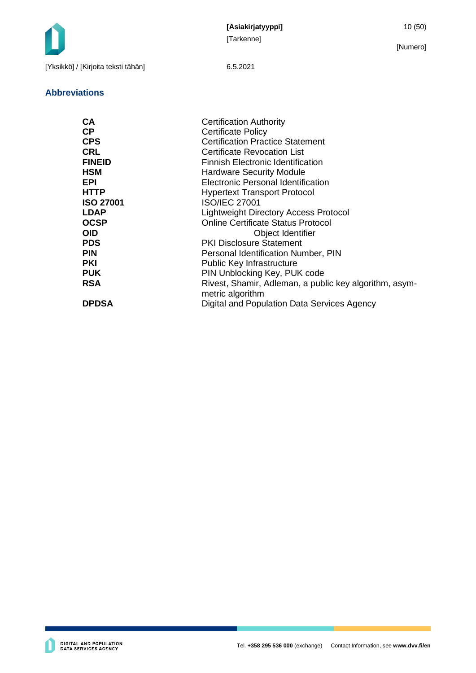

#### **Abbreviations**

| <b>CA</b>        | <b>Certification Authority</b>                         |
|------------------|--------------------------------------------------------|
| <b>CP</b>        | <b>Certificate Policy</b>                              |
| <b>CPS</b>       | <b>Certification Practice Statement</b>                |
| <b>CRL</b>       | <b>Certificate Revocation List</b>                     |
| <b>FINEID</b>    | Finnish Electronic Identification                      |
| <b>HSM</b>       | <b>Hardware Security Module</b>                        |
| <b>EPI</b>       | <b>Electronic Personal Identification</b>              |
| <b>HTTP</b>      | <b>Hypertext Transport Protocol</b>                    |
| <b>ISO 27001</b> | <b>ISO/IEC 27001</b>                                   |
| <b>LDAP</b>      | Lightweight Directory Access Protocol                  |
| <b>OCSP</b>      | <b>Online Certificate Status Protocol</b>              |
| <b>OID</b>       | Object Identifier                                      |
| <b>PDS</b>       | <b>PKI Disclosure Statement</b>                        |
| <b>PIN</b>       | Personal Identification Number, PIN                    |
| <b>PKI</b>       | <b>Public Key Infrastructure</b>                       |
| <b>PUK</b>       | PIN Unblocking Key, PUK code                           |
| <b>RSA</b>       | Rivest, Shamir, Adleman, a public key algorithm, asym- |
|                  | metric algorithm                                       |
| <b>DPDSA</b>     | Digital and Population Data Services Agency            |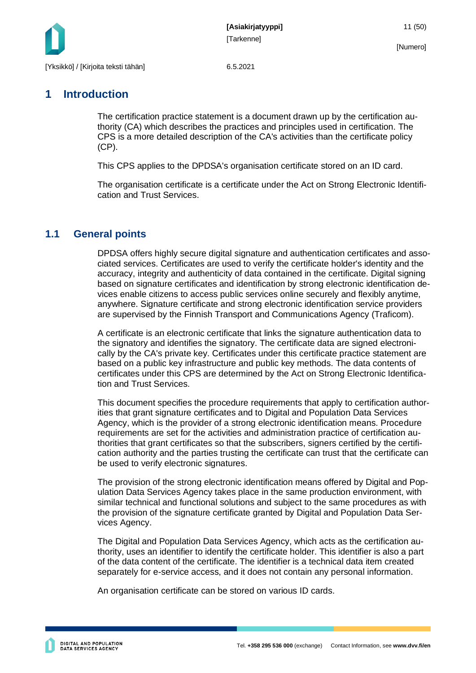

### <span id="page-11-0"></span>**1 Introduction**

The certification practice statement is a document drawn up by the certification authority (CA) which describes the practices and principles used in certification. The CPS is a more detailed description of the CA's activities than the certificate policy (CP).

This CPS applies to the DPDSA's organisation certificate stored on an ID card.

The organisation certificate is a certificate under the Act on Strong Electronic Identification and Trust Services.

### <span id="page-11-1"></span>**1.1 General points**

DPDSA offers highly secure digital signature and authentication certificates and associated services. Certificates are used to verify the certificate holder's identity and the accuracy, integrity and authenticity of data contained in the certificate. Digital signing based on signature certificates and identification by strong electronic identification devices enable citizens to access public services online securely and flexibly anytime, anywhere. Signature certificate and strong electronic identification service providers are supervised by the Finnish Transport and Communications Agency (Traficom).

A certificate is an electronic certificate that links the signature authentication data to the signatory and identifies the signatory. The certificate data are signed electronically by the CA's private key. Certificates under this certificate practice statement are based on a public key infrastructure and public key methods. The data contents of certificates under this CPS are determined by the Act on Strong Electronic Identification and Trust Services.

This document specifies the procedure requirements that apply to certification authorities that grant signature certificates and to Digital and Population Data Services Agency, which is the provider of a strong electronic identification means. Procedure requirements are set for the activities and administration practice of certification authorities that grant certificates so that the subscribers, signers certified by the certification authority and the parties trusting the certificate can trust that the certificate can be used to verify electronic signatures.

The provision of the strong electronic identification means offered by Digital and Population Data Services Agency takes place in the same production environment, with similar technical and functional solutions and subject to the same procedures as with the provision of the signature certificate granted by Digital and Population Data Services Agency.

The Digital and Population Data Services Agency, which acts as the certification authority, uses an identifier to identify the certificate holder. This identifier is also a part of the data content of the certificate. The identifier is a technical data item created separately for e-service access, and it does not contain any personal information.

An organisation certificate can be stored on various ID cards.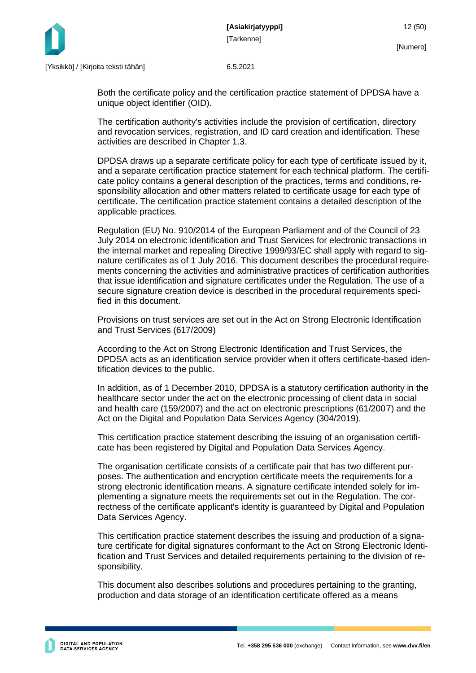

Both the certificate policy and the certification practice statement of DPDSA have a unique object identifier (OID).

The certification authority's activities include the provision of certification, directory and revocation services, registration, and ID card creation and identification. These activities are described in Chapter 1.3.

DPDSA draws up a separate certificate policy for each type of certificate issued by it, and a separate certification practice statement for each technical platform. The certificate policy contains a general description of the practices, terms and conditions, responsibility allocation and other matters related to certificate usage for each type of certificate. The certification practice statement contains a detailed description of the applicable practices.

Regulation (EU) No. 910/2014 of the European Parliament and of the Council of 23 July 2014 on electronic identification and Trust Services for electronic transactions in the internal market and repealing Directive 1999/93/EC shall apply with regard to signature certificates as of 1 July 2016. This document describes the procedural requirements concerning the activities and administrative practices of certification authorities that issue identification and signature certificates under the Regulation. The use of a secure signature creation device is described in the procedural requirements specified in this document.

Provisions on trust services are set out in the Act on Strong Electronic Identification and Trust Services (617/2009)

According to the Act on Strong Electronic Identification and Trust Services, the DPDSA acts as an identification service provider when it offers certificate-based identification devices to the public.

In addition, as of 1 December 2010, DPDSA is a statutory certification authority in the healthcare sector under the act on the electronic processing of client data in social and health care (159/2007) and the act on electronic prescriptions (61/2007) and the Act on the Digital and Population Data Services Agency (304/2019).

This certification practice statement describing the issuing of an organisation certificate has been registered by Digital and Population Data Services Agency.

The organisation certificate consists of a certificate pair that has two different purposes. The authentication and encryption certificate meets the requirements for a strong electronic identification means. A signature certificate intended solely for implementing a signature meets the requirements set out in the Regulation. The correctness of the certificate applicant's identity is guaranteed by Digital and Population Data Services Agency.

This certification practice statement describes the issuing and production of a signature certificate for digital signatures conformant to the Act on Strong Electronic Identification and Trust Services and detailed requirements pertaining to the division of responsibility.

This document also describes solutions and procedures pertaining to the granting, production and data storage of an identification certificate offered as a means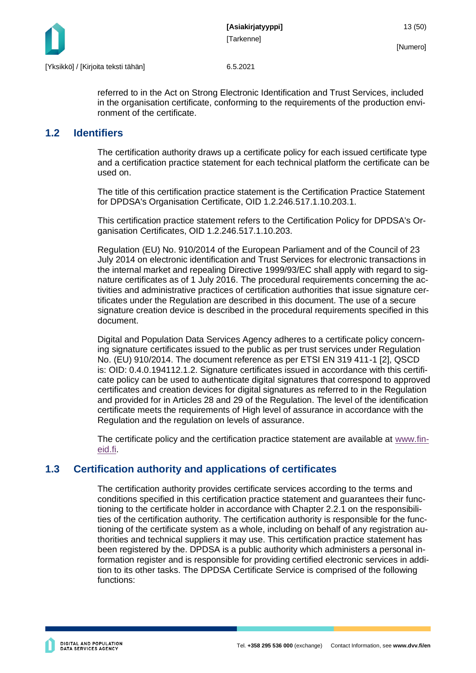

referred to in the Act on Strong Electronic Identification and Trust Services, included in the organisation certificate, conforming to the requirements of the production environment of the certificate.

### <span id="page-13-0"></span>**1.2 Identifiers**

The certification authority draws up a certificate policy for each issued certificate type and a certification practice statement for each technical platform the certificate can be used on.

The title of this certification practice statement is the Certification Practice Statement for DPDSA's Organisation Certificate, OID 1.2.246.517.1.10.203.1.

This certification practice statement refers to the Certification Policy for DPDSA's Organisation Certificates, OID 1.2.246.517.1.10.203.

Regulation (EU) No. 910/2014 of the European Parliament and of the Council of 23 July 2014 on electronic identification and Trust Services for electronic transactions in the internal market and repealing Directive 1999/93/EC shall apply with regard to signature certificates as of 1 July 2016. The procedural requirements concerning the activities and administrative practices of certification authorities that issue signature certificates under the Regulation are described in this document. The use of a secure signature creation device is described in the procedural requirements specified in this document.

Digital and Population Data Services Agency adheres to a certificate policy concerning signature certificates issued to the public as per trust services under Regulation No. (EU) 910/2014. The document reference as per ETSI EN 319 411-1 [2], QSCD is: OID: 0.4.0.194112.1.2. Signature certificates issued in accordance with this certificate policy can be used to authenticate digital signatures that correspond to approved certificates and creation devices for digital signatures as referred to in the Regulation and provided for in Articles 28 and 29 of the Regulation. The level of the identification certificate meets the requirements of High level of assurance in accordance with the Regulation and the regulation on levels of assurance.

The certificate policy and the certification practice statement are available at [www.fin](http://www.fineid.fi/)[eid.fi.](http://www.fineid.fi/)

### <span id="page-13-1"></span>**1.3 Certification authority and applications of certificates**

The certification authority provides certificate services according to the terms and conditions specified in this certification practice statement and guarantees their functioning to the certificate holder in accordance with Chapter 2.2.1 on the responsibilities of the certification authority. The certification authority is responsible for the functioning of the certificate system as a whole, including on behalf of any registration authorities and technical suppliers it may use. This certification practice statement has been registered by the. DPDSA is a public authority which administers a personal information register and is responsible for providing certified electronic services in addition to its other tasks. The DPDSA Certificate Service is comprised of the following functions: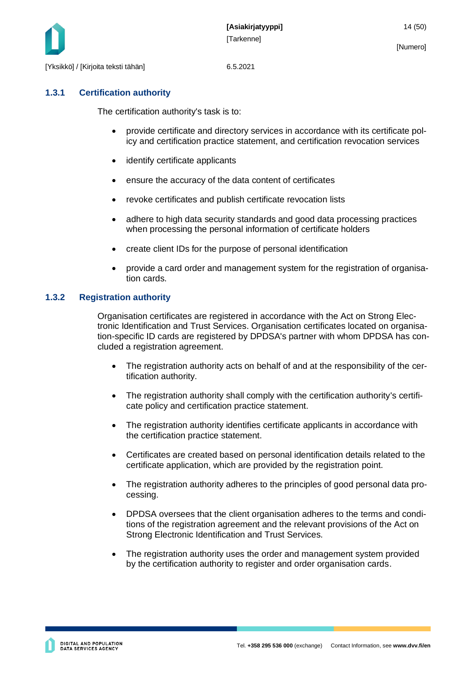

### <span id="page-14-0"></span>**1.3.1 Certification authority**

The certification authority's task is to:

- provide certificate and directory services in accordance with its certificate policy and certification practice statement, and certification revocation services
- identify certificate applicants
- ensure the accuracy of the data content of certificates
- revoke certificates and publish certificate revocation lists
- adhere to high data security standards and good data processing practices when processing the personal information of certificate holders
- create client IDs for the purpose of personal identification
- provide a card order and management system for the registration of organisation cards.

### <span id="page-14-1"></span>**1.3.2 Registration authority**

Organisation certificates are registered in accordance with the Act on Strong Electronic Identification and Trust Services. Organisation certificates located on organisation-specific ID cards are registered by DPDSA's partner with whom DPDSA has concluded a registration agreement.

- The registration authority acts on behalf of and at the responsibility of the certification authority.
- The registration authority shall comply with the certification authority's certificate policy and certification practice statement.
- The registration authority identifies certificate applicants in accordance with the certification practice statement.
- Certificates are created based on personal identification details related to the certificate application, which are provided by the registration point.
- The registration authority adheres to the principles of good personal data processing.
- DPDSA oversees that the client organisation adheres to the terms and conditions of the registration agreement and the relevant provisions of the Act on Strong Electronic Identification and Trust Services.
- The registration authority uses the order and management system provided by the certification authority to register and order organisation cards.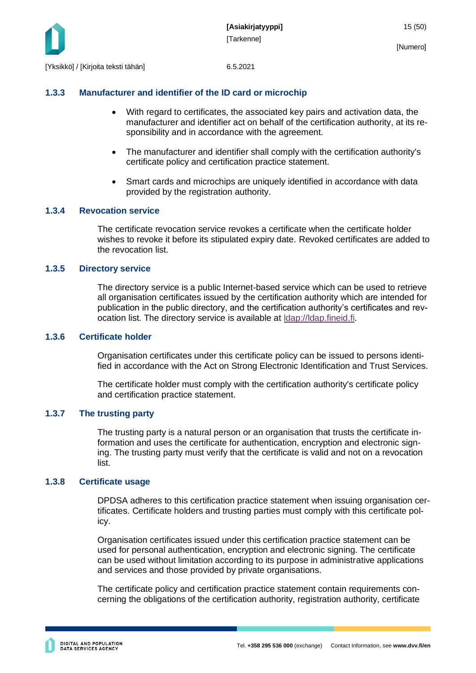

#### <span id="page-15-0"></span>**1.3.3 Manufacturer and identifier of the ID card or microchip**

- With regard to certificates, the associated key pairs and activation data, the manufacturer and identifier act on behalf of the certification authority, at its responsibility and in accordance with the agreement.
- The manufacturer and identifier shall comply with the certification authority's certificate policy and certification practice statement.
- Smart cards and microchips are uniquely identified in accordance with data provided by the registration authority.

#### <span id="page-15-1"></span>**1.3.4 Revocation service**

The certificate revocation service revokes a certificate when the certificate holder wishes to revoke it before its stipulated expiry date. Revoked certificates are added to the revocation list.

#### <span id="page-15-2"></span>**1.3.5 Directory service**

The directory service is a public Internet-based service which can be used to retrieve all organisation certificates issued by the certification authority which are intended for publication in the public directory, and the certification authority's certificates and revocation list. The directory service is available at [ldap://ldap.fineid.fi.](ldap://ldap.fineid.fi/)

#### <span id="page-15-3"></span>**1.3.6 Certificate holder**

Organisation certificates under this certificate policy can be issued to persons identified in accordance with the Act on Strong Electronic Identification and Trust Services.

The certificate holder must comply with the certification authority's certificate policy and certification practice statement.

#### <span id="page-15-4"></span>**1.3.7 The trusting party**

The trusting party is a natural person or an organisation that trusts the certificate information and uses the certificate for authentication, encryption and electronic signing. The trusting party must verify that the certificate is valid and not on a revocation list.

#### <span id="page-15-5"></span>**1.3.8 Certificate usage**

DPDSA adheres to this certification practice statement when issuing organisation certificates. Certificate holders and trusting parties must comply with this certificate policy.

Organisation certificates issued under this certification practice statement can be used for personal authentication, encryption and electronic signing. The certificate can be used without limitation according to its purpose in administrative applications and services and those provided by private organisations.

The certificate policy and certification practice statement contain requirements concerning the obligations of the certification authority, registration authority, certificate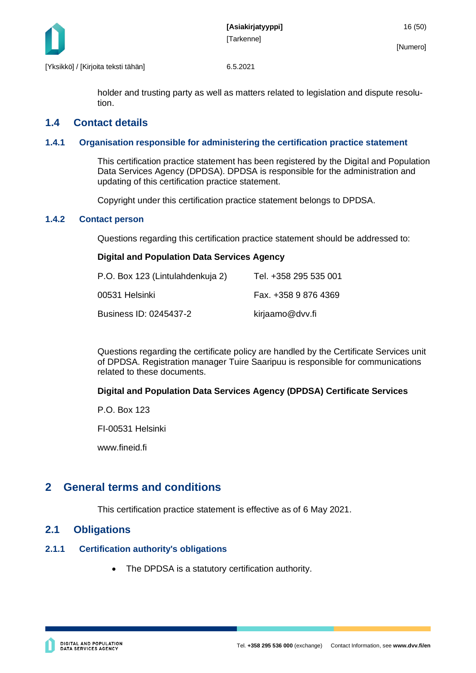

holder and trusting party as well as matters related to legislation and dispute resolution.

### <span id="page-16-0"></span>**1.4 Contact details**

#### <span id="page-16-1"></span>**1.4.1 Organisation responsible for administering the certification practice statement**

This certification practice statement has been registered by the Digital and Population Data Services Agency (DPDSA). DPDSA is responsible for the administration and updating of this certification practice statement.

Copyright under this certification practice statement belongs to DPDSA.

#### <span id="page-16-2"></span>**1.4.2 Contact person**

Questions regarding this certification practice statement should be addressed to:

#### **Digital and Population Data Services Agency**

| P.O. Box 123 (Lintulahdenkuja 2) | Tel. +358 295 535 001 |
|----------------------------------|-----------------------|
| 00531 Helsinki                   | Fax. +358 9 876 4369  |
| Business ID: 0245437-2           | kirjaamo@dvv.fi       |

Questions regarding the certificate policy are handled by the Certificate Services unit of DPDSA. Registration manager Tuire Saaripuu is responsible for communications related to these documents.

#### **Digital and Population Data Services Agency (DPDSA) Certificate Services**

P.O. Box 123

FI-00531 Helsinki

www.fineid.fi

### <span id="page-16-3"></span>**2 General terms and conditions**

This certification practice statement is effective as of 6 May 2021.

### <span id="page-16-4"></span>**2.1 Obligations**

#### <span id="page-16-5"></span>**2.1.1 Certification authority's obligations**

The DPDSA is a statutory certification authority.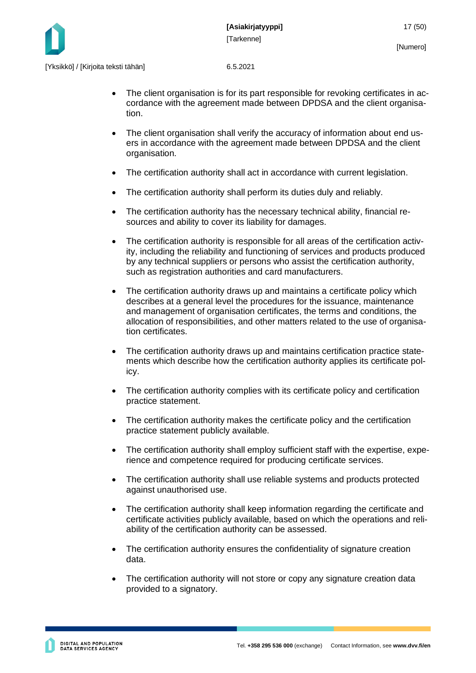

- The client organisation is for its part responsible for revoking certificates in accordance with the agreement made between DPDSA and the client organisation.
- The client organisation shall verify the accuracy of information about end users in accordance with the agreement made between DPDSA and the client organisation.
- The certification authority shall act in accordance with current legislation.
- The certification authority shall perform its duties duly and reliably.
- The certification authority has the necessary technical ability, financial resources and ability to cover its liability for damages.
- The certification authority is responsible for all areas of the certification activity, including the reliability and functioning of services and products produced by any technical suppliers or persons who assist the certification authority, such as registration authorities and card manufacturers.
- The certification authority draws up and maintains a certificate policy which describes at a general level the procedures for the issuance, maintenance and management of organisation certificates, the terms and conditions, the allocation of responsibilities, and other matters related to the use of organisation certificates.
- The certification authority draws up and maintains certification practice statements which describe how the certification authority applies its certificate policy.
- The certification authority complies with its certificate policy and certification practice statement.
- The certification authority makes the certificate policy and the certification practice statement publicly available.
- The certification authority shall employ sufficient staff with the expertise, experience and competence required for producing certificate services.
- The certification authority shall use reliable systems and products protected against unauthorised use.
- The certification authority shall keep information regarding the certificate and certificate activities publicly available, based on which the operations and reliability of the certification authority can be assessed.
- The certification authority ensures the confidentiality of signature creation data.
- The certification authority will not store or copy any signature creation data provided to a signatory.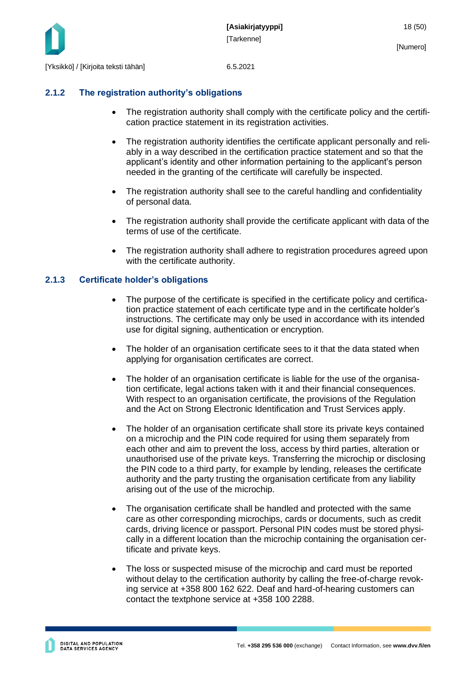

#### <span id="page-18-0"></span>**2.1.2 The registration authority's obligations**

- The registration authority shall comply with the certificate policy and the certification practice statement in its registration activities.
- The registration authority identifies the certificate applicant personally and reliably in a way described in the certification practice statement and so that the applicant's identity and other information pertaining to the applicant's person needed in the granting of the certificate will carefully be inspected.
- The registration authority shall see to the careful handling and confidentiality of personal data.
- The registration authority shall provide the certificate applicant with data of the terms of use of the certificate.
- The registration authority shall adhere to registration procedures agreed upon with the certificate authority.

#### <span id="page-18-1"></span>**2.1.3 Certificate holder's obligations**

- The purpose of the certificate is specified in the certificate policy and certification practice statement of each certificate type and in the certificate holder's instructions. The certificate may only be used in accordance with its intended use for digital signing, authentication or encryption.
- The holder of an organisation certificate sees to it that the data stated when applying for organisation certificates are correct.
- The holder of an organisation certificate is liable for the use of the organisation certificate, legal actions taken with it and their financial consequences. With respect to an organisation certificate, the provisions of the Regulation and the Act on Strong Electronic Identification and Trust Services apply.
- The holder of an organisation certificate shall store its private keys contained on a microchip and the PIN code required for using them separately from each other and aim to prevent the loss, access by third parties, alteration or unauthorised use of the private keys. Transferring the microchip or disclosing the PIN code to a third party, for example by lending, releases the certificate authority and the party trusting the organisation certificate from any liability arising out of the use of the microchip.
- The organisation certificate shall be handled and protected with the same care as other corresponding microchips, cards or documents, such as credit cards, driving licence or passport. Personal PIN codes must be stored physically in a different location than the microchip containing the organisation certificate and private keys.
- The loss or suspected misuse of the microchip and card must be reported without delay to the certification authority by calling the free-of-charge revoking service at +358 800 162 622. Deaf and hard-of-hearing customers can contact the textphone service at +358 100 2288.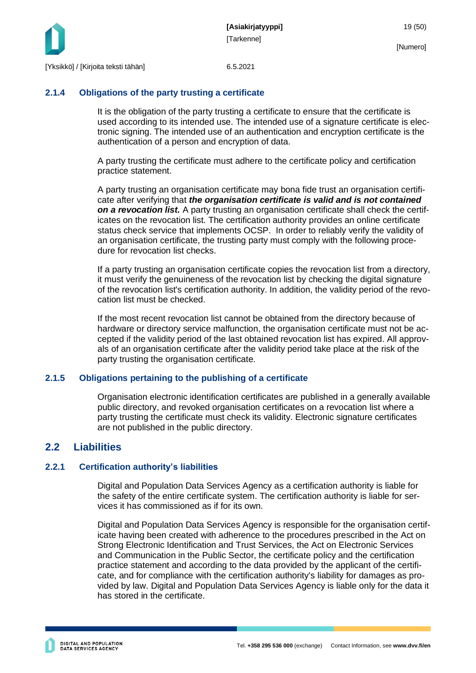

#### <span id="page-19-0"></span>**2.1.4 Obligations of the party trusting a certificate**

It is the obligation of the party trusting a certificate to ensure that the certificate is used according to its intended use. The intended use of a signature certificate is electronic signing. The intended use of an authentication and encryption certificate is the authentication of a person and encryption of data.

A party trusting the certificate must adhere to the certificate policy and certification practice statement.

A party trusting an organisation certificate may bona fide trust an organisation certificate after verifying that *the organisation certificate is valid and is not contained on a revocation list.* A party trusting an organisation certificate shall check the certificates on the revocation list. The certification authority provides an online certificate status check service that implements OCSP. In order to reliably verify the validity of an organisation certificate, the trusting party must comply with the following procedure for revocation list checks.

If a party trusting an organisation certificate copies the revocation list from a directory, it must verify the genuineness of the revocation list by checking the digital signature of the revocation list's certification authority. In addition, the validity period of the revocation list must be checked.

If the most recent revocation list cannot be obtained from the directory because of hardware or directory service malfunction, the organisation certificate must not be accepted if the validity period of the last obtained revocation list has expired. All approvals of an organisation certificate after the validity period take place at the risk of the party trusting the organisation certificate.

#### <span id="page-19-1"></span>**2.1.5 Obligations pertaining to the publishing of a certificate**

Organisation electronic identification certificates are published in a generally available public directory, and revoked organisation certificates on a revocation list where a party trusting the certificate must check its validity. Electronic signature certificates are not published in the public directory.

### <span id="page-19-2"></span>**2.2 Liabilities**

#### <span id="page-19-3"></span>**2.2.1 Certification authority's liabilities**

Digital and Population Data Services Agency as a certification authority is liable for the safety of the entire certificate system. The certification authority is liable for services it has commissioned as if for its own.

Digital and Population Data Services Agency is responsible for the organisation certificate having been created with adherence to the procedures prescribed in the Act on Strong Electronic Identification and Trust Services, the Act on Electronic Services and Communication in the Public Sector, the certificate policy and the certification practice statement and according to the data provided by the applicant of the certificate, and for compliance with the certification authority's liability for damages as provided by law. Digital and Population Data Services Agency is liable only for the data it has stored in the certificate.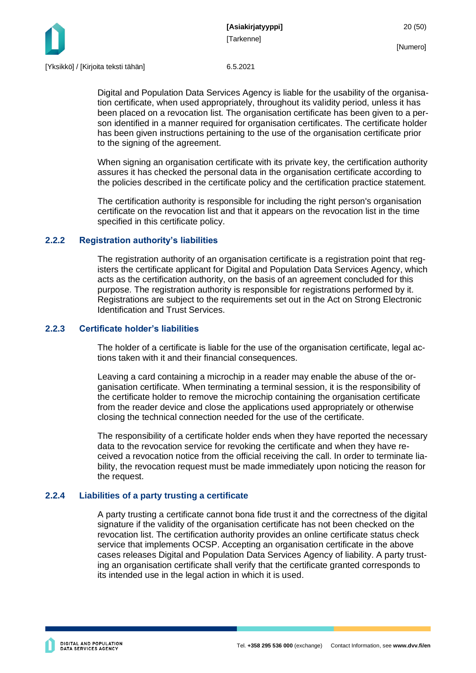



Digital and Population Data Services Agency is liable for the usability of the organisation certificate, when used appropriately, throughout its validity period, unless it has been placed on a revocation list. The organisation certificate has been given to a person identified in a manner required for organisation certificates. The certificate holder has been given instructions pertaining to the use of the organisation certificate prior to the signing of the agreement.

When signing an organisation certificate with its private key, the certification authority assures it has checked the personal data in the organisation certificate according to the policies described in the certificate policy and the certification practice statement.

The certification authority is responsible for including the right person's organisation certificate on the revocation list and that it appears on the revocation list in the time specified in this certificate policy.

#### <span id="page-20-0"></span>**2.2.2 Registration authority's liabilities**

The registration authority of an organisation certificate is a registration point that registers the certificate applicant for Digital and Population Data Services Agency, which acts as the certification authority, on the basis of an agreement concluded for this purpose. The registration authority is responsible for registrations performed by it. Registrations are subject to the requirements set out in the Act on Strong Electronic Identification and Trust Services.

#### <span id="page-20-1"></span>**2.2.3 Certificate holder's liabilities**

The holder of a certificate is liable for the use of the organisation certificate, legal actions taken with it and their financial consequences.

Leaving a card containing a microchip in a reader may enable the abuse of the organisation certificate. When terminating a terminal session, it is the responsibility of the certificate holder to remove the microchip containing the organisation certificate from the reader device and close the applications used appropriately or otherwise closing the technical connection needed for the use of the certificate.

The responsibility of a certificate holder ends when they have reported the necessary data to the revocation service for revoking the certificate and when they have received a revocation notice from the official receiving the call. In order to terminate liability, the revocation request must be made immediately upon noticing the reason for the request.

#### <span id="page-20-2"></span>**2.2.4 Liabilities of a party trusting a certificate**

A party trusting a certificate cannot bona fide trust it and the correctness of the digital signature if the validity of the organisation certificate has not been checked on the revocation list. The certification authority provides an online certificate status check service that implements OCSP. Accepting an organisation certificate in the above cases releases Digital and Population Data Services Agency of liability. A party trusting an organisation certificate shall verify that the certificate granted corresponds to its intended use in the legal action in which it is used.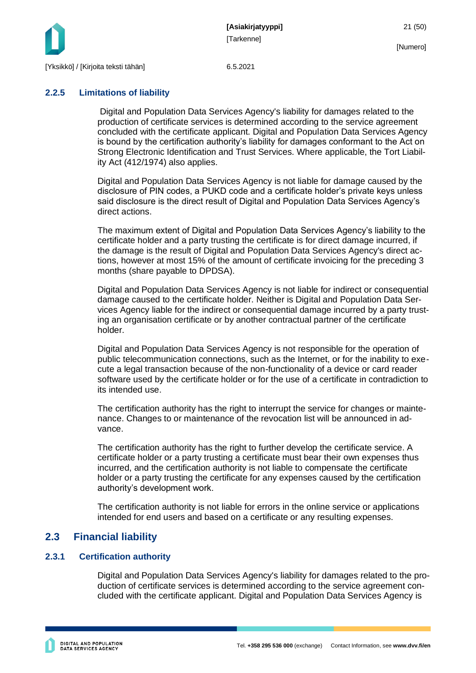

#### <span id="page-21-0"></span>**2.2.5 Limitations of liability**

Digital and Population Data Services Agency's liability for damages related to the production of certificate services is determined according to the service agreement concluded with the certificate applicant. Digital and Population Data Services Agency is bound by the certification authority's liability for damages conformant to the Act on Strong Electronic Identification and Trust Services. Where applicable, the Tort Liability Act (412/1974) also applies.

Digital and Population Data Services Agency is not liable for damage caused by the disclosure of PIN codes, a PUKD code and a certificate holder's private keys unless said disclosure is the direct result of Digital and Population Data Services Agency's direct actions.

The maximum extent of Digital and Population Data Services Agency's liability to the certificate holder and a party trusting the certificate is for direct damage incurred, if the damage is the result of Digital and Population Data Services Agency's direct actions, however at most 15% of the amount of certificate invoicing for the preceding 3 months (share payable to DPDSA).

Digital and Population Data Services Agency is not liable for indirect or consequential damage caused to the certificate holder. Neither is Digital and Population Data Services Agency liable for the indirect or consequential damage incurred by a party trusting an organisation certificate or by another contractual partner of the certificate holder.

Digital and Population Data Services Agency is not responsible for the operation of public telecommunication connections, such as the Internet, or for the inability to execute a legal transaction because of the non-functionality of a device or card reader software used by the certificate holder or for the use of a certificate in contradiction to its intended use.

The certification authority has the right to interrupt the service for changes or maintenance. Changes to or maintenance of the revocation list will be announced in advance.

The certification authority has the right to further develop the certificate service. A certificate holder or a party trusting a certificate must bear their own expenses thus incurred, and the certification authority is not liable to compensate the certificate holder or a party trusting the certificate for any expenses caused by the certification authority's development work.

The certification authority is not liable for errors in the online service or applications intended for end users and based on a certificate or any resulting expenses.

### <span id="page-21-1"></span>**2.3 Financial liability**

### <span id="page-21-2"></span>**2.3.1 Certification authority**

Digital and Population Data Services Agency's liability for damages related to the production of certificate services is determined according to the service agreement concluded with the certificate applicant. Digital and Population Data Services Agency is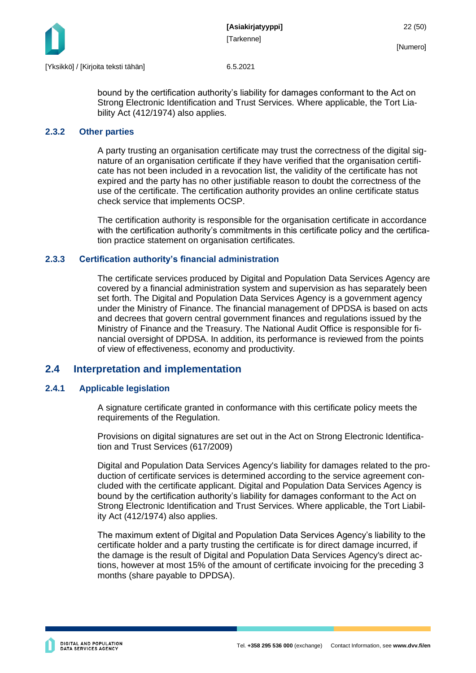

bound by the certification authority's liability for damages conformant to the Act on Strong Electronic Identification and Trust Services. Where applicable, the Tort Liability Act (412/1974) also applies.

#### <span id="page-22-0"></span>**2.3.2 Other parties**

A party trusting an organisation certificate may trust the correctness of the digital signature of an organisation certificate if they have verified that the organisation certificate has not been included in a revocation list, the validity of the certificate has not expired and the party has no other justifiable reason to doubt the correctness of the use of the certificate. The certification authority provides an online certificate status check service that implements OCSP.

The certification authority is responsible for the organisation certificate in accordance with the certification authority's commitments in this certificate policy and the certification practice statement on organisation certificates.

#### <span id="page-22-1"></span>**2.3.3 Certification authority's financial administration**

The certificate services produced by Digital and Population Data Services Agency are covered by a financial administration system and supervision as has separately been set forth. The Digital and Population Data Services Agency is a government agency under the Ministry of Finance. The financial management of DPDSA is based on acts and decrees that govern central government finances and regulations issued by the Ministry of Finance and the Treasury. The National Audit Office is responsible for financial oversight of DPDSA. In addition, its performance is reviewed from the points of view of effectiveness, economy and productivity.

#### <span id="page-22-2"></span>**2.4 Interpretation and implementation**

#### <span id="page-22-3"></span>**2.4.1 Applicable legislation**

A signature certificate granted in conformance with this certificate policy meets the requirements of the Regulation.

Provisions on digital signatures are set out in the Act on Strong Electronic Identification and Trust Services (617/2009)

Digital and Population Data Services Agency's liability for damages related to the production of certificate services is determined according to the service agreement concluded with the certificate applicant. Digital and Population Data Services Agency is bound by the certification authority's liability for damages conformant to the Act on Strong Electronic Identification and Trust Services. Where applicable, the Tort Liability Act (412/1974) also applies.

The maximum extent of Digital and Population Data Services Agency's liability to the certificate holder and a party trusting the certificate is for direct damage incurred, if the damage is the result of Digital and Population Data Services Agency's direct actions, however at most 15% of the amount of certificate invoicing for the preceding 3 months (share payable to DPDSA).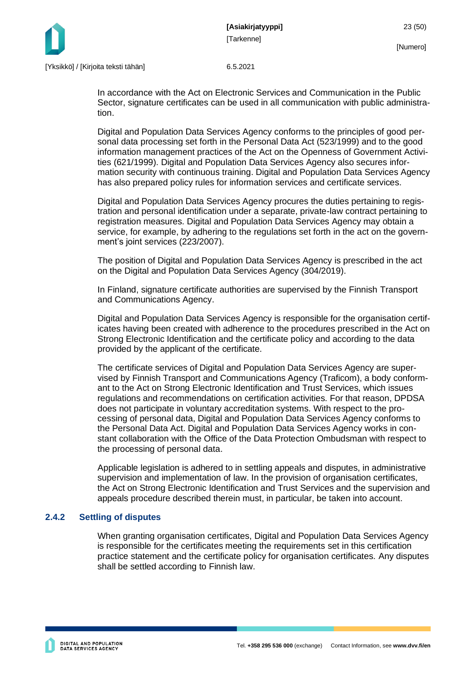

In accordance with the Act on Electronic Services and Communication in the Public Sector, signature certificates can be used in all communication with public administration.

Digital and Population Data Services Agency conforms to the principles of good personal data processing set forth in the Personal Data Act (523/1999) and to the good information management practices of the Act on the Openness of Government Activities (621/1999). Digital and Population Data Services Agency also secures information security with continuous training. Digital and Population Data Services Agency has also prepared policy rules for information services and certificate services.

Digital and Population Data Services Agency procures the duties pertaining to registration and personal identification under a separate, private-law contract pertaining to registration measures. Digital and Population Data Services Agency may obtain a service, for example, by adhering to the regulations set forth in the act on the government's joint services (223/2007).

The position of Digital and Population Data Services Agency is prescribed in the act on the Digital and Population Data Services Agency (304/2019).

In Finland, signature certificate authorities are supervised by the Finnish Transport and Communications Agency.

Digital and Population Data Services Agency is responsible for the organisation certificates having been created with adherence to the procedures prescribed in the Act on Strong Electronic Identification and the certificate policy and according to the data provided by the applicant of the certificate.

The certificate services of Digital and Population Data Services Agency are supervised by Finnish Transport and Communications Agency (Traficom), a body conformant to the Act on Strong Electronic Identification and Trust Services, which issues regulations and recommendations on certification activities. For that reason, DPDSA does not participate in voluntary accreditation systems. With respect to the processing of personal data, Digital and Population Data Services Agency conforms to the Personal Data Act. Digital and Population Data Services Agency works in constant collaboration with the Office of the Data Protection Ombudsman with respect to the processing of personal data.

Applicable legislation is adhered to in settling appeals and disputes, in administrative supervision and implementation of law. In the provision of organisation certificates, the Act on Strong Electronic Identification and Trust Services and the supervision and appeals procedure described therein must, in particular, be taken into account.

#### <span id="page-23-0"></span>**2.4.2 Settling of disputes**

When granting organisation certificates, Digital and Population Data Services Agency is responsible for the certificates meeting the requirements set in this certification practice statement and the certificate policy for organisation certificates. Any disputes shall be settled according to Finnish law.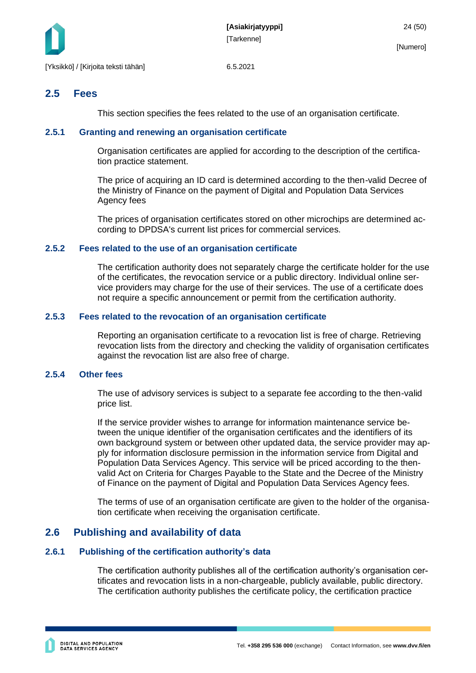

### <span id="page-24-0"></span>**2.5 Fees**

This section specifies the fees related to the use of an organisation certificate.

#### <span id="page-24-1"></span>**2.5.1 Granting and renewing an organisation certificate**

Organisation certificates are applied for according to the description of the certification practice statement.

The price of acquiring an ID card is determined according to the then-valid Decree of the Ministry of Finance on the payment of Digital and Population Data Services Agency fees

The prices of organisation certificates stored on other microchips are determined according to DPDSA's current list prices for commercial services.

#### <span id="page-24-2"></span>**2.5.2 Fees related to the use of an organisation certificate**

The certification authority does not separately charge the certificate holder for the use of the certificates, the revocation service or a public directory. Individual online service providers may charge for the use of their services. The use of a certificate does not require a specific announcement or permit from the certification authority.

#### <span id="page-24-3"></span>**2.5.3 Fees related to the revocation of an organisation certificate**

Reporting an organisation certificate to a revocation list is free of charge. Retrieving revocation lists from the directory and checking the validity of organisation certificates against the revocation list are also free of charge.

#### <span id="page-24-4"></span>**2.5.4 Other fees**

The use of advisory services is subject to a separate fee according to the then-valid price list.

If the service provider wishes to arrange for information maintenance service between the unique identifier of the organisation certificates and the identifiers of its own background system or between other updated data, the service provider may apply for information disclosure permission in the information service from Digital and Population Data Services Agency. This service will be priced according to the thenvalid Act on Criteria for Charges Payable to the State and the Decree of the Ministry of Finance on the payment of Digital and Population Data Services Agency fees.

The terms of use of an organisation certificate are given to the holder of the organisation certificate when receiving the organisation certificate.

### <span id="page-24-5"></span>**2.6 Publishing and availability of data**

#### <span id="page-24-6"></span>**2.6.1 Publishing of the certification authority's data**

The certification authority publishes all of the certification authority's organisation certificates and revocation lists in a non-chargeable, publicly available, public directory. The certification authority publishes the certificate policy, the certification practice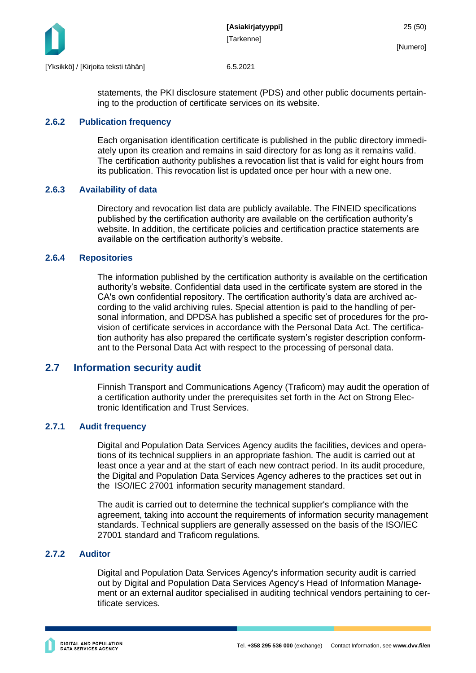

statements, the PKI disclosure statement (PDS) and other public documents pertaining to the production of certificate services on its website.

#### <span id="page-25-0"></span>**2.6.2 Publication frequency**

Each organisation identification certificate is published in the public directory immediately upon its creation and remains in said directory for as long as it remains valid. The certification authority publishes a revocation list that is valid for eight hours from its publication. This revocation list is updated once per hour with a new one.

#### <span id="page-25-1"></span>**2.6.3 Availability of data**

Directory and revocation list data are publicly available. The FINEID specifications published by the certification authority are available on the certification authority's website. In addition, the certificate policies and certification practice statements are available on the certification authority's website.

#### <span id="page-25-2"></span>**2.6.4 Repositories**

The information published by the certification authority is available on the certification authority's website. Confidential data used in the certificate system are stored in the CA's own confidential repository. The certification authority's data are archived according to the valid archiving rules. Special attention is paid to the handling of personal information, and DPDSA has published a specific set of procedures for the provision of certificate services in accordance with the Personal Data Act. The certification authority has also prepared the certificate system's register description conformant to the Personal Data Act with respect to the processing of personal data.

#### <span id="page-25-3"></span>**2.7 Information security audit**

Finnish Transport and Communications Agency (Traficom) may audit the operation of a certification authority under the prerequisites set forth in the Act on Strong Electronic Identification and Trust Services.

#### <span id="page-25-4"></span>**2.7.1 Audit frequency**

Digital and Population Data Services Agency audits the facilities, devices and operations of its technical suppliers in an appropriate fashion. The audit is carried out at least once a year and at the start of each new contract period. In its audit procedure, the Digital and Population Data Services Agency adheres to the practices set out in the ISO/IEC 27001 information security management standard.

The audit is carried out to determine the technical supplier's compliance with the agreement, taking into account the requirements of information security management standards. Technical suppliers are generally assessed on the basis of the ISO/IEC 27001 standard and Traficom regulations.

#### <span id="page-25-5"></span>**2.7.2 Auditor**

Digital and Population Data Services Agency's information security audit is carried out by Digital and Population Data Services Agency's Head of Information Management or an external auditor specialised in auditing technical vendors pertaining to certificate services.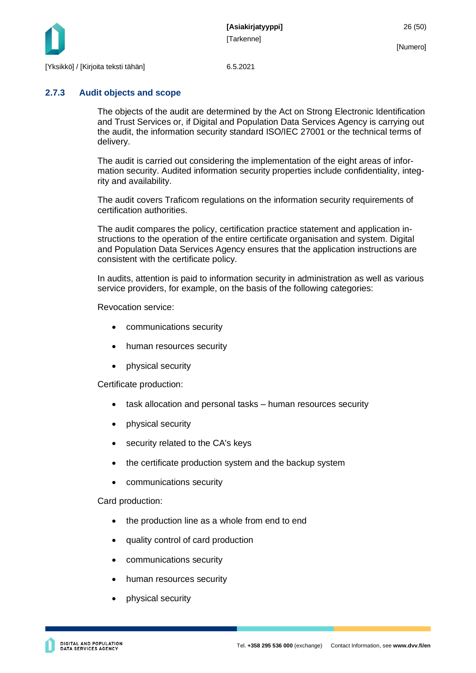

### <span id="page-26-0"></span>**2.7.3 Audit objects and scope**

The objects of the audit are determined by the Act on Strong Electronic Identification and Trust Services or, if Digital and Population Data Services Agency is carrying out the audit, the information security standard ISO/IEC 27001 or the technical terms of delivery.

The audit is carried out considering the implementation of the eight areas of information security. Audited information security properties include confidentiality, integrity and availability.

The audit covers Traficom regulations on the information security requirements of certification authorities.

The audit compares the policy, certification practice statement and application instructions to the operation of the entire certificate organisation and system. Digital and Population Data Services Agency ensures that the application instructions are consistent with the certificate policy.

In audits, attention is paid to information security in administration as well as various service providers, for example, on the basis of the following categories:

Revocation service:

- communications security
- human resources security
- physical security

Certificate production:

- task allocation and personal tasks human resources security
- physical security
- security related to the CA's keys
- the certificate production system and the backup system
- communications security

Card production:

- the production line as a whole from end to end
- quality control of card production
- communications security
- human resources security
- physical security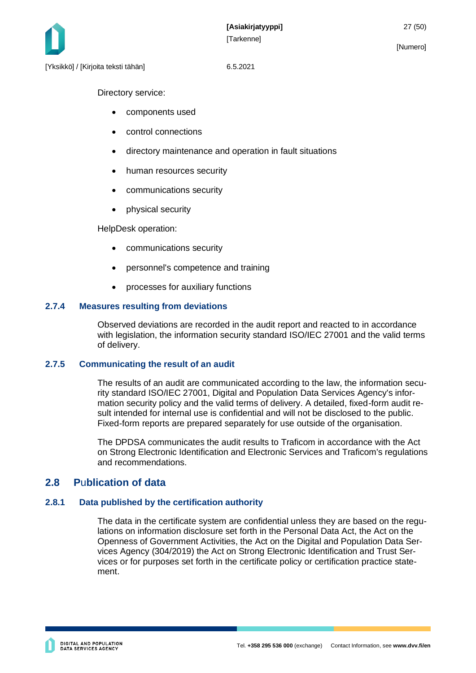

Directory service:

- components used
- control connections
- directory maintenance and operation in fault situations
- human resources security
- communications security
- physical security

HelpDesk operation:

- communications security
- personnel's competence and training
- processes for auxiliary functions

#### <span id="page-27-0"></span>**2.7.4 Measures resulting from deviations**

Observed deviations are recorded in the audit report and reacted to in accordance with legislation, the information security standard ISO/IEC 27001 and the valid terms of delivery.

#### <span id="page-27-1"></span>**2.7.5 Communicating the result of an audit**

The results of an audit are communicated according to the law, the information security standard ISO/IEC 27001, Digital and Population Data Services Agency's information security policy and the valid terms of delivery. A detailed, fixed-form audit result intended for internal use is confidential and will not be disclosed to the public. Fixed-form reports are prepared separately for use outside of the organisation.

The DPDSA communicates the audit results to Traficom in accordance with the Act on Strong Electronic Identification and Electronic Services and Traficom's regulations and recommendations.

### <span id="page-27-2"></span>**2.8 P**u**blication of data**

#### <span id="page-27-3"></span>**2.8.1 Data published by the certification authority**

The data in the certificate system are confidential unless they are based on the regulations on information disclosure set forth in the Personal Data Act, the Act on the Openness of Government Activities, the Act on the Digital and Population Data Services Agency (304/2019) the Act on Strong Electronic Identification and Trust Services or for purposes set forth in the certificate policy or certification practice statement.

[Numero]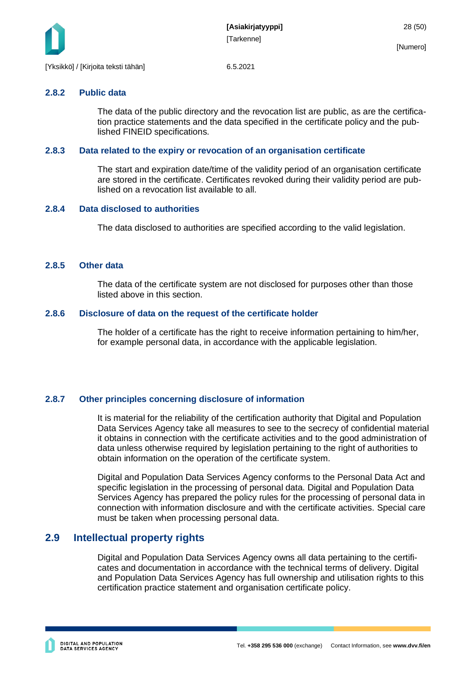

#### <span id="page-28-0"></span>**2.8.2 Public data**

The data of the public directory and the revocation list are public, as are the certification practice statements and the data specified in the certificate policy and the published FINEID specifications.

#### <span id="page-28-1"></span>**2.8.3 Data related to the expiry or revocation of an organisation certificate**

The start and expiration date/time of the validity period of an organisation certificate are stored in the certificate. Certificates revoked during their validity period are published on a revocation list available to all.

#### <span id="page-28-2"></span>**2.8.4 Data disclosed to authorities**

The data disclosed to authorities are specified according to the valid legislation.

#### <span id="page-28-3"></span>**2.8.5 Other data**

The data of the certificate system are not disclosed for purposes other than those listed above in this section.

#### <span id="page-28-4"></span>**2.8.6 Disclosure of data on the request of the certificate holder**

The holder of a certificate has the right to receive information pertaining to him/her, for example personal data, in accordance with the applicable legislation.

#### <span id="page-28-5"></span>**2.8.7 Other principles concerning disclosure of information**

It is material for the reliability of the certification authority that Digital and Population Data Services Agency take all measures to see to the secrecy of confidential material it obtains in connection with the certificate activities and to the good administration of data unless otherwise required by legislation pertaining to the right of authorities to obtain information on the operation of the certificate system.

Digital and Population Data Services Agency conforms to the Personal Data Act and specific legislation in the processing of personal data. Digital and Population Data Services Agency has prepared the policy rules for the processing of personal data in connection with information disclosure and with the certificate activities. Special care must be taken when processing personal data.

### <span id="page-28-6"></span>**2.9 Intellectual property rights**

Digital and Population Data Services Agency owns all data pertaining to the certificates and documentation in accordance with the technical terms of delivery. Digital and Population Data Services Agency has full ownership and utilisation rights to this certification practice statement and organisation certificate policy.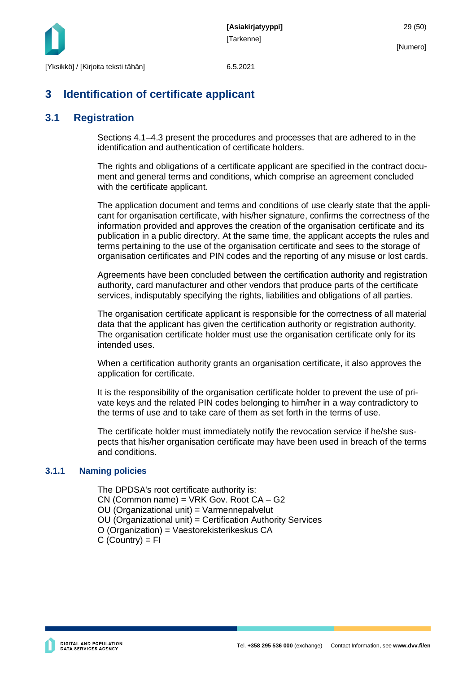

## <span id="page-29-0"></span>**3 Identification of certificate applicant**

### <span id="page-29-1"></span>**3.1 Registration**

Sections 4.1–4.3 present the procedures and processes that are adhered to in the identification and authentication of certificate holders.

The rights and obligations of a certificate applicant are specified in the contract document and general terms and conditions, which comprise an agreement concluded with the certificate applicant.

The application document and terms and conditions of use clearly state that the applicant for organisation certificate, with his/her signature, confirms the correctness of the information provided and approves the creation of the organisation certificate and its publication in a public directory. At the same time, the applicant accepts the rules and terms pertaining to the use of the organisation certificate and sees to the storage of organisation certificates and PIN codes and the reporting of any misuse or lost cards.

Agreements have been concluded between the certification authority and registration authority, card manufacturer and other vendors that produce parts of the certificate services, indisputably specifying the rights, liabilities and obligations of all parties.

The organisation certificate applicant is responsible for the correctness of all material data that the applicant has given the certification authority or registration authority. The organisation certificate holder must use the organisation certificate only for its intended uses.

When a certification authority grants an organisation certificate, it also approves the application for certificate.

It is the responsibility of the organisation certificate holder to prevent the use of private keys and the related PIN codes belonging to him/her in a way contradictory to the terms of use and to take care of them as set forth in the terms of use.

The certificate holder must immediately notify the revocation service if he/she suspects that his/her organisation certificate may have been used in breach of the terms and conditions.

### <span id="page-29-2"></span>**3.1.1 Naming policies**

The DPDSA's root certificate authority is: CN (Common name) = VRK Gov. Root CA – G2 OU (Organizational unit) = Varmennepalvelut OU (Organizational unit) = Certification Authority Services O (Organization) = Vaestorekisterikeskus CA  $C$  (Country) = FI

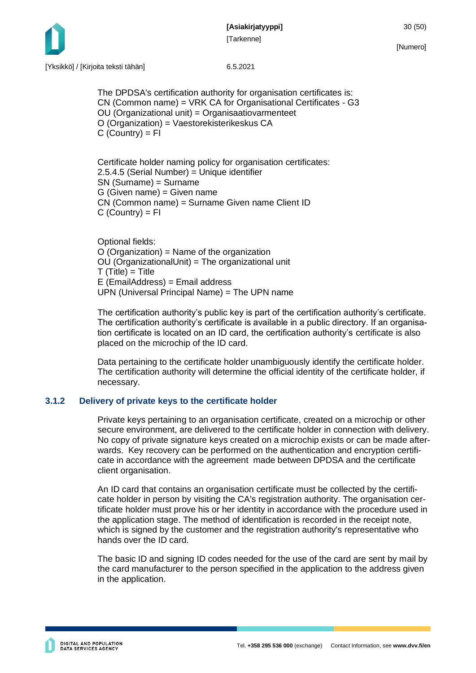**[Asiakirjatyyppi]** 30 (50) [Tarkenne]



[Numero]

The DPDSA's certification authority for organisation certificates is: CN (Common name) = VRK CA for Organisational Certificates - G3 OU (Organizational unit) = Organisaatiovarmenteet O (Organization) = Vaestorekisterikeskus CA  $C$  (Country) =  $FI$ 

Certificate holder naming policy for organisation certificates: 2.5.4.5 (Serial Number) = Unique identifier SN (Surname) = Surname G (Given name) = Given name CN (Common name) = Surname Given name Client ID  $C$  (Country) = FI

Optional fields: O (Organization) = Name of the organization OU (OrganizationalUnit) = The organizational unit  $T(Title) = Title$ E (EmailAddress) = Email address UPN (Universal Principal Name) = The UPN name

The certification authority's public key is part of the certification authority's certificate. The certification authority's certificate is available in a public directory. If an organisation certificate is located on an ID card, the certification authority's certificate is also placed on the microchip of the ID card.

Data pertaining to the certificate holder unambiguously identify the certificate holder. The certification authority will determine the official identity of the certificate holder, if necessary.

#### <span id="page-30-0"></span>**3.1.2 Delivery of private keys to the certificate holder**

Private keys pertaining to an organisation certificate, created on a microchip or other secure environment, are delivered to the certificate holder in connection with delivery. No copy of private signature keys created on a microchip exists or can be made afterwards. Key recovery can be performed on the authentication and encryption certificate in accordance with the agreement made between DPDSA and the certificate client organisation.

An ID card that contains an organisation certificate must be collected by the certificate holder in person by visiting the CA's registration authority. The organisation certificate holder must prove his or her identity in accordance with the procedure used in the application stage. The method of identification is recorded in the receipt note, which is signed by the customer and the registration authority's representative who hands over the ID card.

The basic ID and signing ID codes needed for the use of the card are sent by mail by the card manufacturer to the person specified in the application to the address given in the application.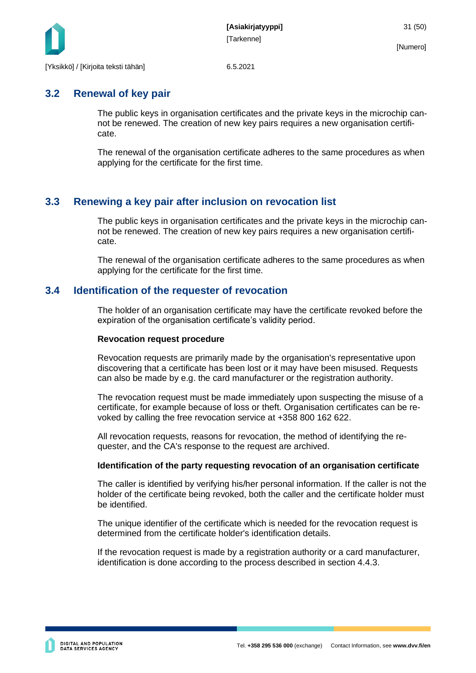

### <span id="page-31-0"></span>**3.2 Renewal of key pair**

The public keys in organisation certificates and the private keys in the microchip cannot be renewed. The creation of new key pairs requires a new organisation certificate.

The renewal of the organisation certificate adheres to the same procedures as when applying for the certificate for the first time.

### <span id="page-31-1"></span>**3.3 Renewing a key pair after inclusion on revocation list**

The public keys in organisation certificates and the private keys in the microchip cannot be renewed. The creation of new key pairs requires a new organisation certificate.

The renewal of the organisation certificate adheres to the same procedures as when applying for the certificate for the first time.

### <span id="page-31-2"></span>**3.4 Identification of the requester of revocation**

The holder of an organisation certificate may have the certificate revoked before the expiration of the organisation certificate's validity period.

#### **Revocation request procedure**

Revocation requests are primarily made by the organisation's representative upon discovering that a certificate has been lost or it may have been misused. Requests can also be made by e.g. the card manufacturer or the registration authority.

The revocation request must be made immediately upon suspecting the misuse of a certificate, for example because of loss or theft. Organisation certificates can be revoked by calling the free revocation service at +358 800 162 622.

All revocation requests, reasons for revocation, the method of identifying the requester, and the CA's response to the request are archived.

#### **Identification of the party requesting revocation of an organisation certificate**

The caller is identified by verifying his/her personal information. If the caller is not the holder of the certificate being revoked, both the caller and the certificate holder must be identified.

The unique identifier of the certificate which is needed for the revocation request is determined from the certificate holder's identification details.

If the revocation request is made by a registration authority or a card manufacturer, identification is done according to the process described in section 4.4.3.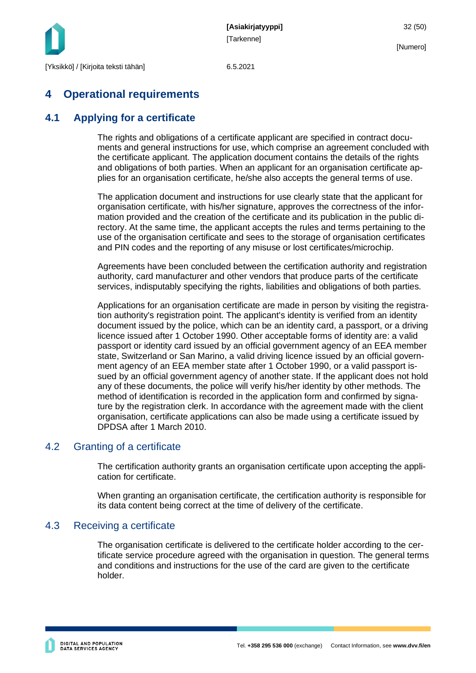

## <span id="page-32-0"></span>**4 Operational requirements**

### <span id="page-32-1"></span>**4.1 Applying for a certificate**

The rights and obligations of a certificate applicant are specified in contract documents and general instructions for use, which comprise an agreement concluded with the certificate applicant. The application document contains the details of the rights and obligations of both parties. When an applicant for an organisation certificate applies for an organisation certificate, he/she also accepts the general terms of use.

The application document and instructions for use clearly state that the applicant for organisation certificate, with his/her signature, approves the correctness of the information provided and the creation of the certificate and its publication in the public directory. At the same time, the applicant accepts the rules and terms pertaining to the use of the organisation certificate and sees to the storage of organisation certificates and PIN codes and the reporting of any misuse or lost certificates/microchip.

Agreements have been concluded between the certification authority and registration authority, card manufacturer and other vendors that produce parts of the certificate services, indisputably specifying the rights, liabilities and obligations of both parties.

Applications for an organisation certificate are made in person by visiting the registration authority's registration point. The applicant's identity is verified from an identity document issued by the police, which can be an identity card, a passport, or a driving licence issued after 1 October 1990. Other acceptable forms of identity are: a valid passport or identity card issued by an official government agency of an EEA member state, Switzerland or San Marino, a valid driving licence issued by an official government agency of an EEA member state after 1 October 1990, or a valid passport issued by an official government agency of another state. If the applicant does not hold any of these documents, the police will verify his/her identity by other methods. The method of identification is recorded in the application form and confirmed by signature by the registration clerk. In accordance with the agreement made with the client organisation, certificate applications can also be made using a certificate issued by DPDSA after 1 March 2010.

### <span id="page-32-2"></span>4.2 Granting of a certificate

The certification authority grants an organisation certificate upon accepting the application for certificate.

When granting an organisation certificate, the certification authority is responsible for its data content being correct at the time of delivery of the certificate.

### <span id="page-32-3"></span>4.3 Receiving a certificate

The organisation certificate is delivered to the certificate holder according to the certificate service procedure agreed with the organisation in question. The general terms and conditions and instructions for the use of the card are given to the certificate holder.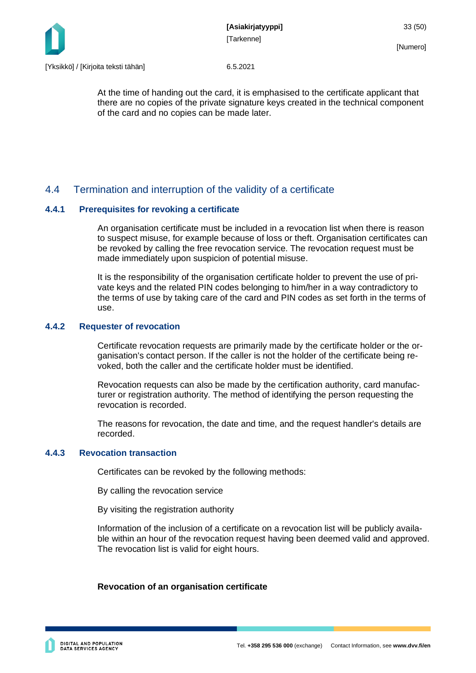

At the time of handing out the card, it is emphasised to the certificate applicant that there are no copies of the private signature keys created in the technical component of the card and no copies can be made later.

### <span id="page-33-0"></span>4.4 Termination and interruption of the validity of a certificate

#### <span id="page-33-1"></span>**4.4.1 Prerequisites for revoking a certificate**

An organisation certificate must be included in a revocation list when there is reason to suspect misuse, for example because of loss or theft. Organisation certificates can be revoked by calling the free revocation service. The revocation request must be made immediately upon suspicion of potential misuse.

It is the responsibility of the organisation certificate holder to prevent the use of private keys and the related PIN codes belonging to him/her in a way contradictory to the terms of use by taking care of the card and PIN codes as set forth in the terms of use.

#### <span id="page-33-2"></span>**4.4.2 Requester of revocation**

Certificate revocation requests are primarily made by the certificate holder or the organisation's contact person. If the caller is not the holder of the certificate being revoked, both the caller and the certificate holder must be identified.

Revocation requests can also be made by the certification authority, card manufacturer or registration authority. The method of identifying the person requesting the revocation is recorded.

The reasons for revocation, the date and time, and the request handler's details are recorded.

#### <span id="page-33-3"></span>**4.4.3 Revocation transaction**

Certificates can be revoked by the following methods:

By calling the revocation service

By visiting the registration authority

Information of the inclusion of a certificate on a revocation list will be publicly available within an hour of the revocation request having been deemed valid and approved. The revocation list is valid for eight hours.

#### **Revocation of an organisation certificate**

**DIGITAL AND POPULATION<br>DATA SERVICES AGENCY**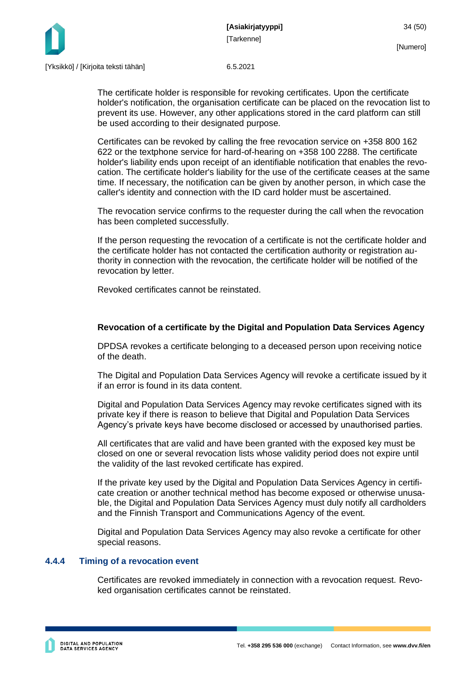

The certificate holder is responsible for revoking certificates. Upon the certificate holder's notification, the organisation certificate can be placed on the revocation list to prevent its use. However, any other applications stored in the card platform can still be used according to their designated purpose.

Certificates can be revoked by calling the free revocation service on +358 800 162 622 or the textphone service for hard-of-hearing on +358 100 2288. The certificate holder's liability ends upon receipt of an identifiable notification that enables the revocation. The certificate holder's liability for the use of the certificate ceases at the same time. If necessary, the notification can be given by another person, in which case the caller's identity and connection with the ID card holder must be ascertained.

The revocation service confirms to the requester during the call when the revocation has been completed successfully.

If the person requesting the revocation of a certificate is not the certificate holder and the certificate holder has not contacted the certification authority or registration authority in connection with the revocation, the certificate holder will be notified of the revocation by letter.

Revoked certificates cannot be reinstated.

#### **Revocation of a certificate by the Digital and Population Data Services Agency**

DPDSA revokes a certificate belonging to a deceased person upon receiving notice of the death.

The Digital and Population Data Services Agency will revoke a certificate issued by it if an error is found in its data content.

Digital and Population Data Services Agency may revoke certificates signed with its private key if there is reason to believe that Digital and Population Data Services Agency's private keys have become disclosed or accessed by unauthorised parties.

All certificates that are valid and have been granted with the exposed key must be closed on one or several revocation lists whose validity period does not expire until the validity of the last revoked certificate has expired.

If the private key used by the Digital and Population Data Services Agency in certificate creation or another technical method has become exposed or otherwise unusable, the Digital and Population Data Services Agency must duly notify all cardholders and the Finnish Transport and Communications Agency of the event.

Digital and Population Data Services Agency may also revoke a certificate for other special reasons.

#### <span id="page-34-0"></span>**4.4.4 Timing of a revocation event**

Certificates are revoked immediately in connection with a revocation request. Revoked organisation certificates cannot be reinstated.

[Numero]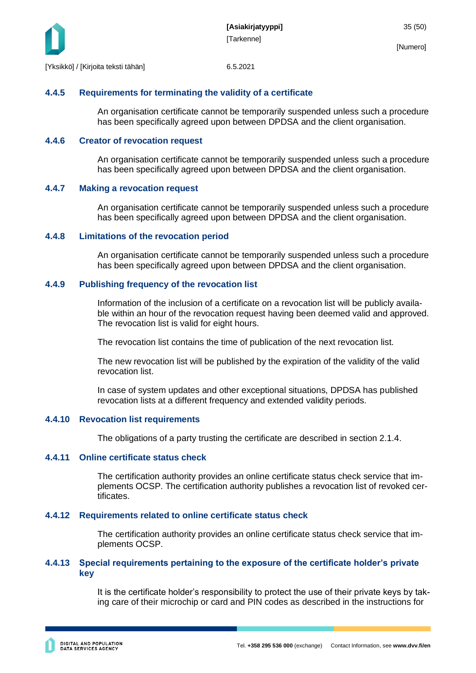

#### <span id="page-35-0"></span>**4.4.5 Requirements for terminating the validity of a certificate**

An organisation certificate cannot be temporarily suspended unless such a procedure has been specifically agreed upon between DPDSA and the client organisation.

#### <span id="page-35-1"></span>**4.4.6 Creator of revocation request**

An organisation certificate cannot be temporarily suspended unless such a procedure has been specifically agreed upon between DPDSA and the client organisation.

#### <span id="page-35-2"></span>**4.4.7 Making a revocation request**

An organisation certificate cannot be temporarily suspended unless such a procedure has been specifically agreed upon between DPDSA and the client organisation.

#### <span id="page-35-3"></span>**4.4.8 Limitations of the revocation period**

An organisation certificate cannot be temporarily suspended unless such a procedure has been specifically agreed upon between DPDSA and the client organisation.

#### <span id="page-35-4"></span>**4.4.9 Publishing frequency of the revocation list**

Information of the inclusion of a certificate on a revocation list will be publicly available within an hour of the revocation request having been deemed valid and approved. The revocation list is valid for eight hours.

The revocation list contains the time of publication of the next revocation list.

The new revocation list will be published by the expiration of the validity of the valid revocation list.

In case of system updates and other exceptional situations, DPDSA has published revocation lists at a different frequency and extended validity periods.

#### <span id="page-35-5"></span>**4.4.10 Revocation list requirements**

The obligations of a party trusting the certificate are described in section 2.1.4.

#### <span id="page-35-6"></span>**4.4.11 Online certificate status check**

The certification authority provides an online certificate status check service that implements OCSP. The certification authority publishes a revocation list of revoked certificates.

#### <span id="page-35-7"></span>**4.4.12 Requirements related to online certificate status check**

The certification authority provides an online certificate status check service that implements OCSP.

#### <span id="page-35-8"></span>**4.4.13 Special requirements pertaining to the exposure of the certificate holder's private key**

It is the certificate holder's responsibility to protect the use of their private keys by taking care of their microchip or card and PIN codes as described in the instructions for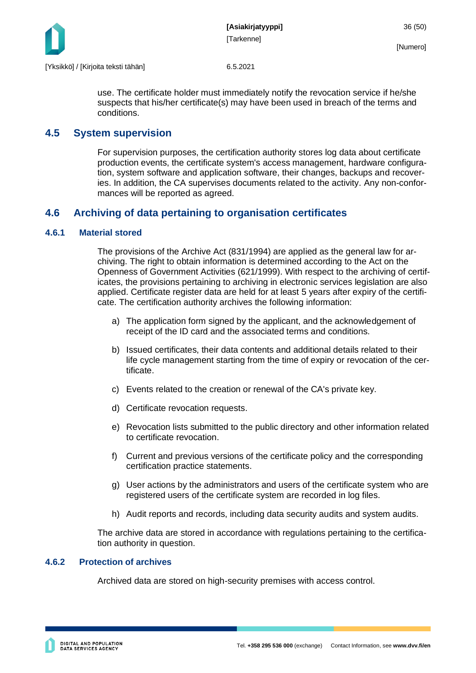

use. The certificate holder must immediately notify the revocation service if he/she suspects that his/her certificate(s) may have been used in breach of the terms and conditions.

### <span id="page-36-0"></span>**4.5 System supervision**

For supervision purposes, the certification authority stores log data about certificate production events, the certificate system's access management, hardware configuration, system software and application software, their changes, backups and recoveries. In addition, the CA supervises documents related to the activity. Any non-conformances will be reported as agreed.

### <span id="page-36-1"></span>**4.6 Archiving of data pertaining to organisation certificates**

#### <span id="page-36-2"></span>**4.6.1 Material stored**

The provisions of the Archive Act (831/1994) are applied as the general law for archiving. The right to obtain information is determined according to the Act on the Openness of Government Activities (621/1999). With respect to the archiving of certificates, the provisions pertaining to archiving in electronic services legislation are also applied. Certificate register data are held for at least 5 years after expiry of the certificate. The certification authority archives the following information:

- a) The application form signed by the applicant, and the acknowledgement of receipt of the ID card and the associated terms and conditions.
- b) Issued certificates, their data contents and additional details related to their life cycle management starting from the time of expiry or revocation of the certificate.
- c) Events related to the creation or renewal of the CA's private key.
- d) Certificate revocation requests.
- e) Revocation lists submitted to the public directory and other information related to certificate revocation.
- f) Current and previous versions of the certificate policy and the corresponding certification practice statements.
- g) User actions by the administrators and users of the certificate system who are registered users of the certificate system are recorded in log files.
- h) Audit reports and records, including data security audits and system audits.

The archive data are stored in accordance with regulations pertaining to the certification authority in question.

#### <span id="page-36-3"></span>**4.6.2 Protection of archives**

Archived data are stored on high-security premises with access control.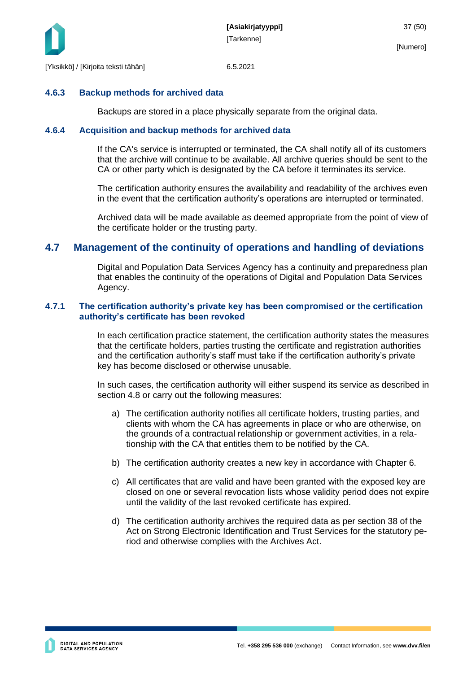

#### <span id="page-37-0"></span>**4.6.3 Backup methods for archived data**

Backups are stored in a place physically separate from the original data.

#### <span id="page-37-1"></span>**4.6.4 Acquisition and backup methods for archived data**

If the CA's service is interrupted or terminated, the CA shall notify all of its customers that the archive will continue to be available. All archive queries should be sent to the CA or other party which is designated by the CA before it terminates its service.

The certification authority ensures the availability and readability of the archives even in the event that the certification authority's operations are interrupted or terminated.

Archived data will be made available as deemed appropriate from the point of view of the certificate holder or the trusting party.

### <span id="page-37-2"></span>**4.7 Management of the continuity of operations and handling of deviations**

Digital and Population Data Services Agency has a continuity and preparedness plan that enables the continuity of the operations of Digital and Population Data Services Agency.

#### <span id="page-37-3"></span>**4.7.1 The certification authority's private key has been compromised or the certification authority's certificate has been revoked**

In each certification practice statement, the certification authority states the measures that the certificate holders, parties trusting the certificate and registration authorities and the certification authority's staff must take if the certification authority's private key has become disclosed or otherwise unusable.

In such cases, the certification authority will either suspend its service as described in section 4.8 or carry out the following measures:

- a) The certification authority notifies all certificate holders, trusting parties, and clients with whom the CA has agreements in place or who are otherwise, on the grounds of a contractual relationship or government activities, in a relationship with the CA that entitles them to be notified by the CA.
- b) The certification authority creates a new key in accordance with Chapter 6.
- c) All certificates that are valid and have been granted with the exposed key are closed on one or several revocation lists whose validity period does not expire until the validity of the last revoked certificate has expired.
- d) The certification authority archives the required data as per section 38 of the Act on Strong Electronic Identification and Trust Services for the statutory period and otherwise complies with the Archives Act.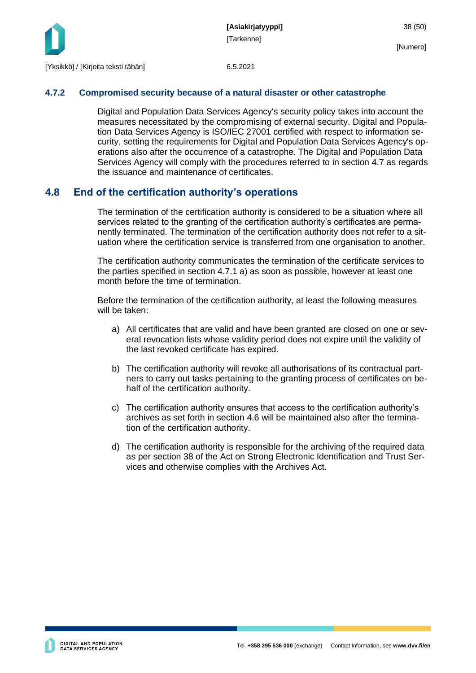

#### <span id="page-38-0"></span>**4.7.2 Compromised security because of a natural disaster or other catastrophe**

Digital and Population Data Services Agency's security policy takes into account the measures necessitated by the compromising of external security. Digital and Population Data Services Agency is ISO/IEC 27001 certified with respect to information security, setting the requirements for Digital and Population Data Services Agency's operations also after the occurrence of a catastrophe. The Digital and Population Data Services Agency will comply with the procedures referred to in section 4.7 as regards the issuance and maintenance of certificates.

### <span id="page-38-1"></span>**4.8 End of the certification authority's operations**

The termination of the certification authority is considered to be a situation where all services related to the granting of the certification authority's certificates are permanently terminated. The termination of the certification authority does not refer to a situation where the certification service is transferred from one organisation to another.

The certification authority communicates the termination of the certificate services to the parties specified in section 4.7.1 a) as soon as possible, however at least one month before the time of termination.

Before the termination of the certification authority, at least the following measures will be taken:

- a) All certificates that are valid and have been granted are closed on one or several revocation lists whose validity period does not expire until the validity of the last revoked certificate has expired.
- b) The certification authority will revoke all authorisations of its contractual partners to carry out tasks pertaining to the granting process of certificates on behalf of the certification authority.
- c) The certification authority ensures that access to the certification authority's archives as set forth in section 4.6 will be maintained also after the termination of the certification authority.
- d) The certification authority is responsible for the archiving of the required data as per section 38 of the Act on Strong Electronic Identification and Trust Services and otherwise complies with the Archives Act.

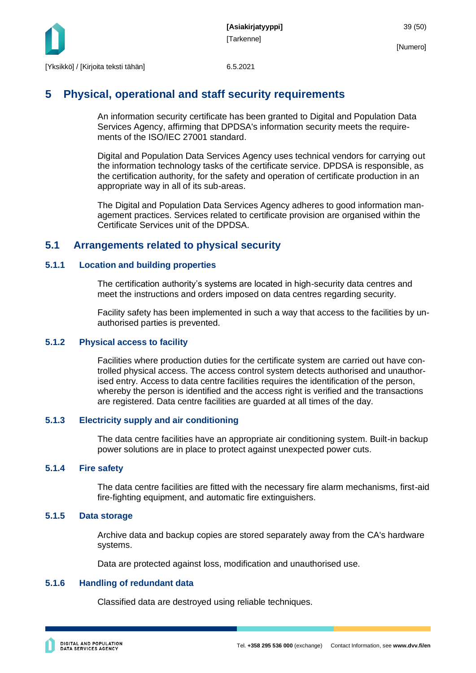

### <span id="page-39-0"></span>**5 Physical, operational and staff security requirements**

An information security certificate has been granted to Digital and Population Data Services Agency, affirming that DPDSA's information security meets the requirements of the ISO/IEC 27001 standard.

Digital and Population Data Services Agency uses technical vendors for carrying out the information technology tasks of the certificate service. DPDSA is responsible, as the certification authority, for the safety and operation of certificate production in an appropriate way in all of its sub-areas.

The Digital and Population Data Services Agency adheres to good information management practices. Services related to certificate provision are organised within the Certificate Services unit of the DPDSA.

### <span id="page-39-1"></span>**5.1 Arrangements related to physical security**

#### <span id="page-39-2"></span>**5.1.1 Location and building properties**

The certification authority's systems are located in high-security data centres and meet the instructions and orders imposed on data centres regarding security.

Facility safety has been implemented in such a way that access to the facilities by unauthorised parties is prevented.

#### <span id="page-39-3"></span>**5.1.2 Physical access to facility**

Facilities where production duties for the certificate system are carried out have controlled physical access. The access control system detects authorised and unauthorised entry. Access to data centre facilities requires the identification of the person, whereby the person is identified and the access right is verified and the transactions are registered. Data centre facilities are guarded at all times of the day.

#### <span id="page-39-4"></span>**5.1.3 Electricity supply and air conditioning**

The data centre facilities have an appropriate air conditioning system. Built-in backup power solutions are in place to protect against unexpected power cuts.

#### <span id="page-39-5"></span>**5.1.4 Fire safety**

The data centre facilities are fitted with the necessary fire alarm mechanisms, first-aid fire-fighting equipment, and automatic fire extinguishers.

#### <span id="page-39-6"></span>**5.1.5 Data storage**

Archive data and backup copies are stored separately away from the CA's hardware systems.

Data are protected against loss, modification and unauthorised use.

#### <span id="page-39-7"></span>**5.1.6 Handling of redundant data**

Classified data are destroyed using reliable techniques.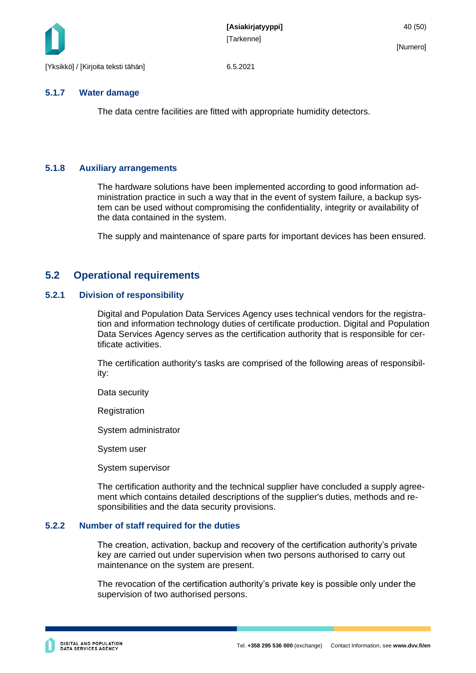

#### <span id="page-40-0"></span>**5.1.7 Water damage**

The data centre facilities are fitted with appropriate humidity detectors.

### <span id="page-40-1"></span>**5.1.8 Auxiliary arrangements**

The hardware solutions have been implemented according to good information administration practice in such a way that in the event of system failure, a backup system can be used without compromising the confidentiality, integrity or availability of the data contained in the system.

The supply and maintenance of spare parts for important devices has been ensured.

### <span id="page-40-2"></span>**5.2 Operational requirements**

#### <span id="page-40-3"></span>**5.2.1 Division of responsibility**

Digital and Population Data Services Agency uses technical vendors for the registration and information technology duties of certificate production. Digital and Population Data Services Agency serves as the certification authority that is responsible for certificate activities.

The certification authority's tasks are comprised of the following areas of responsibility:

Data security

**Registration** 

System administrator

System user

System supervisor

The certification authority and the technical supplier have concluded a supply agreement which contains detailed descriptions of the supplier's duties, methods and responsibilities and the data security provisions.

#### <span id="page-40-4"></span>**5.2.2 Number of staff required for the duties**

The creation, activation, backup and recovery of the certification authority's private key are carried out under supervision when two persons authorised to carry out maintenance on the system are present.

The revocation of the certification authority's private key is possible only under the supervision of two authorised persons.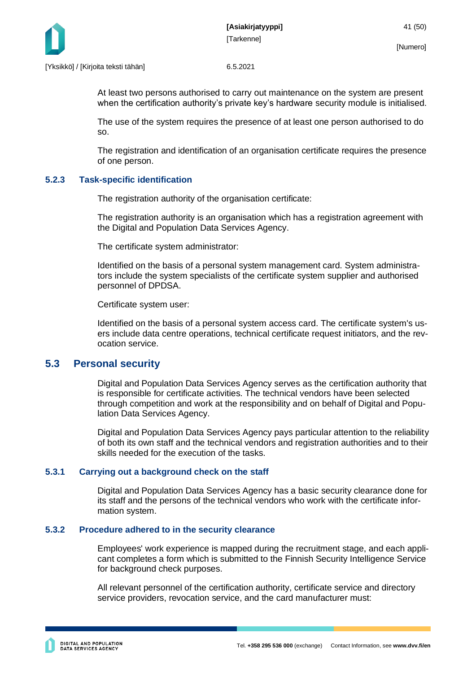

At least two persons authorised to carry out maintenance on the system are present when the certification authority's private key's hardware security module is initialised.

The use of the system requires the presence of at least one person authorised to do so.

The registration and identification of an organisation certificate requires the presence of one person.

#### <span id="page-41-0"></span>**5.2.3 Task-specific identification**

The registration authority of the organisation certificate:

The registration authority is an organisation which has a registration agreement with the Digital and Population Data Services Agency.

The certificate system administrator:

Identified on the basis of a personal system management card. System administrators include the system specialists of the certificate system supplier and authorised personnel of DPDSA.

Certificate system user:

Identified on the basis of a personal system access card. The certificate system's users include data centre operations, technical certificate request initiators, and the revocation service.

### <span id="page-41-1"></span>**5.3 Personal security**

Digital and Population Data Services Agency serves as the certification authority that is responsible for certificate activities. The technical vendors have been selected through competition and work at the responsibility and on behalf of Digital and Population Data Services Agency.

Digital and Population Data Services Agency pays particular attention to the reliability of both its own staff and the technical vendors and registration authorities and to their skills needed for the execution of the tasks.

#### <span id="page-41-2"></span>**5.3.1 Carrying out a background check on the staff**

Digital and Population Data Services Agency has a basic security clearance done for its staff and the persons of the technical vendors who work with the certificate information system.

#### <span id="page-41-3"></span>**5.3.2 Procedure adhered to in the security clearance**

Employees' work experience is mapped during the recruitment stage, and each applicant completes a form which is submitted to the Finnish Security Intelligence Service for background check purposes.

All relevant personnel of the certification authority, certificate service and directory service providers, revocation service, and the card manufacturer must: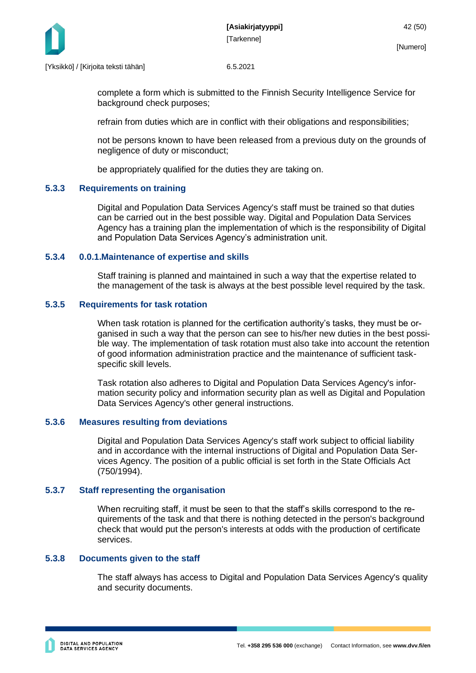

complete a form which is submitted to the Finnish Security Intelligence Service for background check purposes;

refrain from duties which are in conflict with their obligations and responsibilities;

not be persons known to have been released from a previous duty on the grounds of negligence of duty or misconduct;

be appropriately qualified for the duties they are taking on.

#### <span id="page-42-0"></span>**5.3.3 Requirements on training**

Digital and Population Data Services Agency's staff must be trained so that duties can be carried out in the best possible way. Digital and Population Data Services Agency has a training plan the implementation of which is the responsibility of Digital and Population Data Services Agency's administration unit.

#### **5.3.4 0.0.1.Maintenance of expertise and skills**

<span id="page-42-1"></span>Staff training is planned and maintained in such a way that the expertise related to the management of the task is always at the best possible level required by the task.

#### <span id="page-42-2"></span>**5.3.5 Requirements for task rotation**

When task rotation is planned for the certification authority's tasks, they must be organised in such a way that the person can see to his/her new duties in the best possible way. The implementation of task rotation must also take into account the retention of good information administration practice and the maintenance of sufficient taskspecific skill levels.

Task rotation also adheres to Digital and Population Data Services Agency's information security policy and information security plan as well as Digital and Population Data Services Agency's other general instructions.

#### <span id="page-42-3"></span>**5.3.6 Measures resulting from deviations**

Digital and Population Data Services Agency's staff work subject to official liability and in accordance with the internal instructions of Digital and Population Data Services Agency. The position of a public official is set forth in the State Officials Act (750/1994).

#### <span id="page-42-4"></span>**5.3.7 Staff representing the organisation**

When recruiting staff, it must be seen to that the staff's skills correspond to the requirements of the task and that there is nothing detected in the person's background check that would put the person's interests at odds with the production of certificate services.

#### <span id="page-42-5"></span>**5.3.8 Documents given to the staff**

The staff always has access to Digital and Population Data Services Agency's quality and security documents.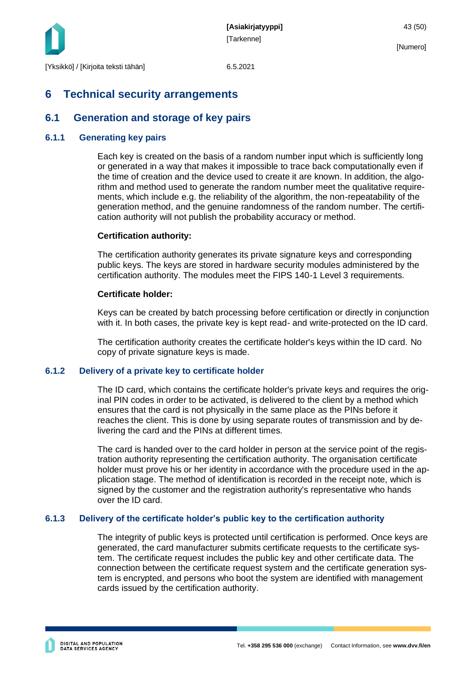

### <span id="page-43-0"></span>**6 Technical security arrangements**

### <span id="page-43-1"></span>**6.1 Generation and storage of key pairs**

#### <span id="page-43-2"></span>**6.1.1 Generating key pairs**

Each key is created on the basis of a random number input which is sufficiently long or generated in a way that makes it impossible to trace back computationally even if the time of creation and the device used to create it are known. In addition, the algorithm and method used to generate the random number meet the qualitative requirements, which include e.g. the reliability of the algorithm, the non-repeatability of the generation method, and the genuine randomness of the random number. The certification authority will not publish the probability accuracy or method.

#### **Certification authority:**

The certification authority generates its private signature keys and corresponding public keys. The keys are stored in hardware security modules administered by the certification authority. The modules meet the FIPS 140-1 Level 3 requirements.

#### **Certificate holder:**

Keys can be created by batch processing before certification or directly in conjunction with it. In both cases, the private key is kept read- and write-protected on the ID card.

The certification authority creates the certificate holder's keys within the ID card. No copy of private signature keys is made.

#### <span id="page-43-3"></span>**6.1.2 Delivery of a private key to certificate holder**

The ID card, which contains the certificate holder's private keys and requires the original PIN codes in order to be activated, is delivered to the client by a method which ensures that the card is not physically in the same place as the PINs before it reaches the client. This is done by using separate routes of transmission and by delivering the card and the PINs at different times.

The card is handed over to the card holder in person at the service point of the registration authority representing the certification authority. The organisation certificate holder must prove his or her identity in accordance with the procedure used in the application stage. The method of identification is recorded in the receipt note, which is signed by the customer and the registration authority's representative who hands over the ID card.

#### <span id="page-43-4"></span>**6.1.3 Delivery of the certificate holder's public key to the certification authority**

The integrity of public keys is protected until certification is performed. Once keys are generated, the card manufacturer submits certificate requests to the certificate system. The certificate request includes the public key and other certificate data. The connection between the certificate request system and the certificate generation system is encrypted, and persons who boot the system are identified with management cards issued by the certification authority.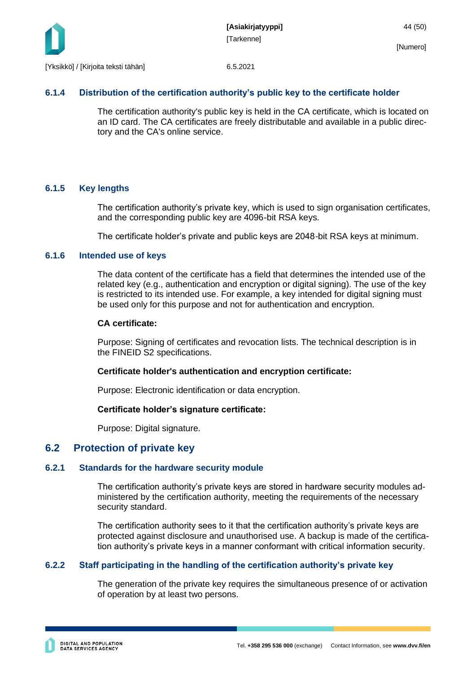

### <span id="page-44-0"></span>**6.1.4 Distribution of the certification authority's public key to the certificate holder**

The certification authority's public key is held in the CA certificate, which is located on an ID card. The CA certificates are freely distributable and available in a public directory and the CA's online service.

#### <span id="page-44-1"></span>**6.1.5 Key lengths**

The certification authority's private key, which is used to sign organisation certificates, and the corresponding public key are 4096-bit RSA keys.

The certificate holder's private and public keys are 2048-bit RSA keys at minimum.

#### <span id="page-44-2"></span>**6.1.6 Intended use of keys**

The data content of the certificate has a field that determines the intended use of the related key (e.g., authentication and encryption or digital signing). The use of the key is restricted to its intended use. For example, a key intended for digital signing must be used only for this purpose and not for authentication and encryption.

#### **CA certificate:**

Purpose: Signing of certificates and revocation lists. The technical description is in the FINEID S2 specifications.

#### **Certificate holder's authentication and encryption certificate:**

Purpose: Electronic identification or data encryption.

#### **Certificate holder's signature certificate:**

Purpose: Digital signature.

### <span id="page-44-3"></span>**6.2 Protection of private key**

#### <span id="page-44-4"></span>**6.2.1 Standards for the hardware security module**

The certification authority's private keys are stored in hardware security modules administered by the certification authority, meeting the requirements of the necessary security standard.

The certification authority sees to it that the certification authority's private keys are protected against disclosure and unauthorised use. A backup is made of the certification authority's private keys in a manner conformant with critical information security.

### <span id="page-44-5"></span>**6.2.2 Staff participating in the handling of the certification authority's private key**

The generation of the private key requires the simultaneous presence of or activation of operation by at least two persons.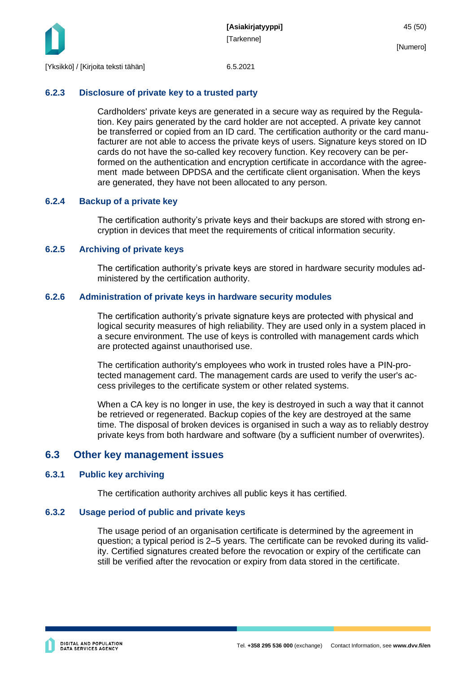

### <span id="page-45-0"></span>**6.2.3 Disclosure of private key to a trusted party**

Cardholders' private keys are generated in a secure way as required by the Regulation. Key pairs generated by the card holder are not accepted. A private key cannot be transferred or copied from an ID card. The certification authority or the card manufacturer are not able to access the private keys of users. Signature keys stored on ID cards do not have the so-called key recovery function. Key recovery can be performed on the authentication and encryption certificate in accordance with the agreement made between DPDSA and the certificate client organisation. When the keys are generated, they have not been allocated to any person.

### <span id="page-45-1"></span>**6.2.4 Backup of a private key**

The certification authority's private keys and their backups are stored with strong encryption in devices that meet the requirements of critical information security.

### <span id="page-45-2"></span>**6.2.5 Archiving of private keys**

The certification authority's private keys are stored in hardware security modules administered by the certification authority.

### <span id="page-45-3"></span>**6.2.6 Administration of private keys in hardware security modules**

The certification authority's private signature keys are protected with physical and logical security measures of high reliability. They are used only in a system placed in a secure environment. The use of keys is controlled with management cards which are protected against unauthorised use.

The certification authority's employees who work in trusted roles have a PIN-protected management card. The management cards are used to verify the user's access privileges to the certificate system or other related systems.

When a CA key is no longer in use, the key is destroyed in such a way that it cannot be retrieved or regenerated. Backup copies of the key are destroyed at the same time. The disposal of broken devices is organised in such a way as to reliably destroy private keys from both hardware and software (by a sufficient number of overwrites).

### <span id="page-45-4"></span>**6.3 Other key management issues**

### <span id="page-45-5"></span>**6.3.1 Public key archiving**

The certification authority archives all public keys it has certified.

### <span id="page-45-6"></span>**6.3.2 Usage period of public and private keys**

The usage period of an organisation certificate is determined by the agreement in question; a typical period is 2–5 years. The certificate can be revoked during its validity. Certified signatures created before the revocation or expiry of the certificate can still be verified after the revocation or expiry from data stored in the certificate.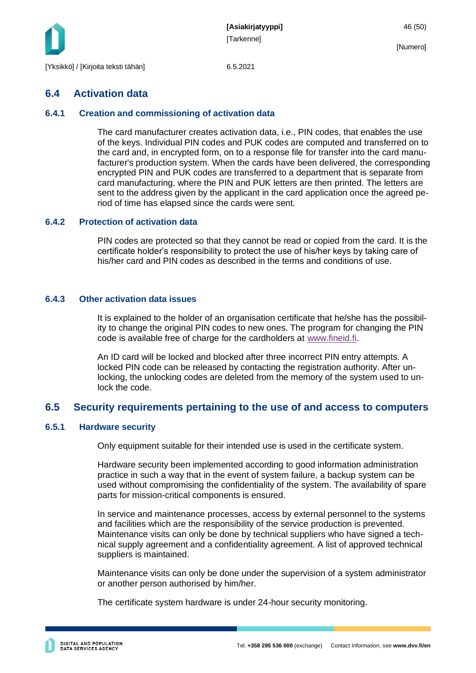

### <span id="page-46-0"></span>**6.4 Activation data**

#### <span id="page-46-1"></span>**6.4.1 Creation and commissioning of activation data**

The card manufacturer creates activation data, i.e., PIN codes, that enables the use of the keys. Individual PIN codes and PUK codes are computed and transferred on to the card and, in encrypted form, on to a response file for transfer into the card manufacturer's production system. When the cards have been delivered, the corresponding encrypted PIN and PUK codes are transferred to a department that is separate from card manufacturing, where the PIN and PUK letters are then printed. The letters are sent to the address given by the applicant in the card application once the agreed period of time has elapsed since the cards were sent.

#### <span id="page-46-2"></span>**6.4.2 Protection of activation data**

PIN codes are protected so that they cannot be read or copied from the card. It is the certificate holder's responsibility to protect the use of his/her keys by taking care of his/her card and PIN codes as described in the terms and conditions of use.

#### <span id="page-46-3"></span>**6.4.3 Other activation data issues**

It is explained to the holder of an organisation certificate that he/she has the possibility to change the original PIN codes to new ones. The program for changing the PIN code is available free of charge for the cardholders at [www.fineid.fi.](http://www.fineid.fi/)

An ID card will be locked and blocked after three incorrect PIN entry attempts. A locked PIN code can be released by contacting the registration authority. After unlocking, the unlocking codes are deleted from the memory of the system used to unlock the code.

### <span id="page-46-4"></span>**6.5 Security requirements pertaining to the use of and access to computers**

#### <span id="page-46-5"></span>**6.5.1 Hardware security**

Only equipment suitable for their intended use is used in the certificate system.

Hardware security been implemented according to good information administration practice in such a way that in the event of system failure, a backup system can be used without compromising the confidentiality of the system. The availability of spare parts for mission-critical components is ensured.

In service and maintenance processes, access by external personnel to the systems and facilities which are the responsibility of the service production is prevented. Maintenance visits can only be done by technical suppliers who have signed a technical supply agreement and a confidentiality agreement. A list of approved technical suppliers is maintained.

Maintenance visits can only be done under the supervision of a system administrator or another person authorised by him/her.

The certificate system hardware is under 24-hour security monitoring.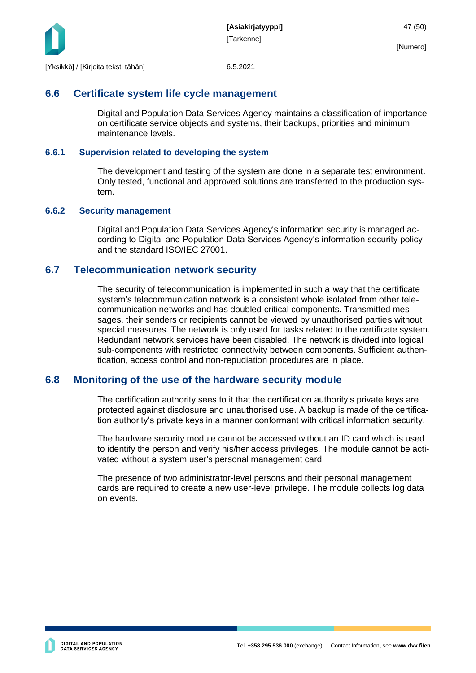

### <span id="page-47-0"></span>**6.6 Certificate system life cycle management**

Digital and Population Data Services Agency maintains a classification of importance on certificate service objects and systems, their backups, priorities and minimum maintenance levels.

#### <span id="page-47-1"></span>**6.6.1 Supervision related to developing the system**

The development and testing of the system are done in a separate test environment. Only tested, functional and approved solutions are transferred to the production system.

#### <span id="page-47-2"></span>**6.6.2 Security management**

Digital and Population Data Services Agency's information security is managed according to Digital and Population Data Services Agency's information security policy and the standard ISO/IEC 27001.

### <span id="page-47-3"></span>**6.7 Telecommunication network security**

The security of telecommunication is implemented in such a way that the certificate system's telecommunication network is a consistent whole isolated from other telecommunication networks and has doubled critical components. Transmitted messages, their senders or recipients cannot be viewed by unauthorised parties without special measures. The network is only used for tasks related to the certificate system. Redundant network services have been disabled. The network is divided into logical sub-components with restricted connectivity between components. Sufficient authentication, access control and non-repudiation procedures are in place.

### <span id="page-47-4"></span>**6.8 Monitoring of the use of the hardware security module**

The certification authority sees to it that the certification authority's private keys are protected against disclosure and unauthorised use. A backup is made of the certification authority's private keys in a manner conformant with critical information security.

The hardware security module cannot be accessed without an ID card which is used to identify the person and verify his/her access privileges. The module cannot be activated without a system user's personal management card.

The presence of two administrator-level persons and their personal management cards are required to create a new user-level privilege. The module collects log data on events.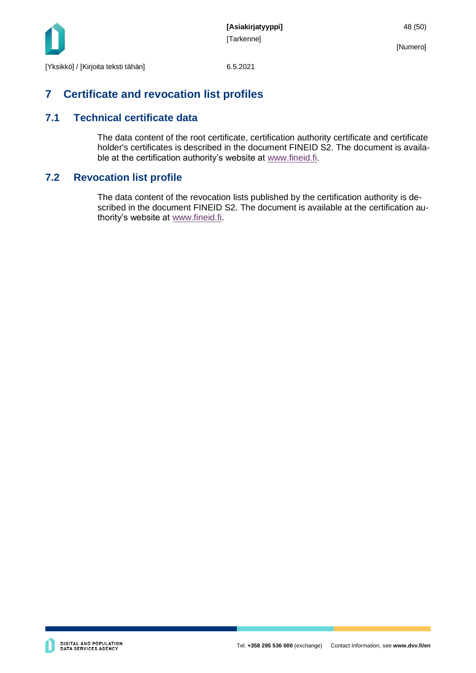

## <span id="page-48-0"></span>**7 Certificate and revocation list profiles**

### <span id="page-48-1"></span>**7.1 Technical certificate data**

The data content of the root certificate, certification authority certificate and certificate holder's certificates is described in the document FINEID S2. The document is available at the certification authority's website at [www.fineid.fi.](http://www.fineid.fi/)

### <span id="page-48-2"></span>**7.2 Revocation list profile**

The data content of the revocation lists published by the certification authority is described in the document FINEID S2. The document is available at the certification authority's website at [www.fineid.fi.](http://www.fineid.fi/)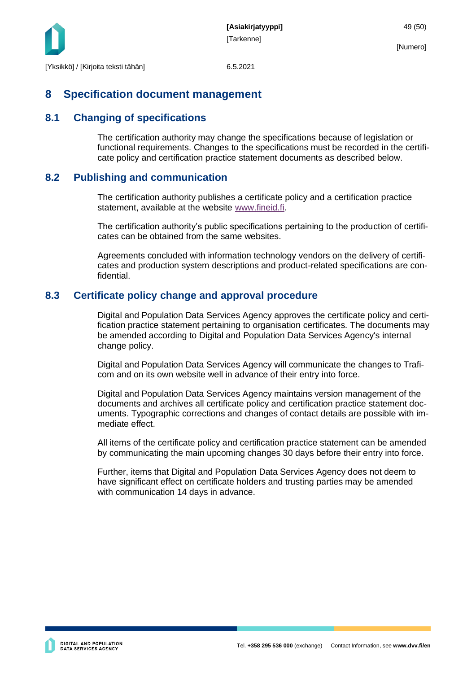

### <span id="page-49-0"></span>**8 Specification document management**

### <span id="page-49-1"></span>**8.1 Changing of specifications**

The certification authority may change the specifications because of legislation or functional requirements. Changes to the specifications must be recorded in the certificate policy and certification practice statement documents as described below.

### <span id="page-49-2"></span>**8.2 Publishing and communication**

The certification authority publishes a certificate policy and a certification practice statement, available at the website [www.fineid.fi.](http://www.fineid.fi/)

The certification authority's public specifications pertaining to the production of certificates can be obtained from the same websites.

Agreements concluded with information technology vendors on the delivery of certificates and production system descriptions and product-related specifications are confidential.

### <span id="page-49-3"></span>**8.3 Certificate policy change and approval procedure**

Digital and Population Data Services Agency approves the certificate policy and certification practice statement pertaining to organisation certificates. The documents may be amended according to Digital and Population Data Services Agency's internal change policy.

Digital and Population Data Services Agency will communicate the changes to Traficom and on its own website well in advance of their entry into force.

Digital and Population Data Services Agency maintains version management of the documents and archives all certificate policy and certification practice statement documents. Typographic corrections and changes of contact details are possible with immediate effect.

All items of the certificate policy and certification practice statement can be amended by communicating the main upcoming changes 30 days before their entry into force.

Further, items that Digital and Population Data Services Agency does not deem to have significant effect on certificate holders and trusting parties may be amended with communication 14 days in advance.